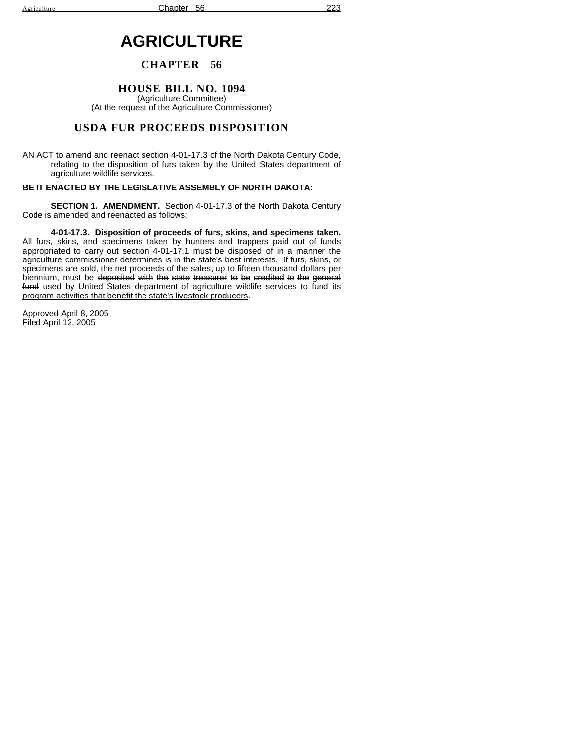# **AGRICULTURE**

## **CHAPTER 56**

### **HOUSE BILL NO. 1094**

(Agriculture Committee) (At the request of the Agriculture Commissioner)

# **USDA FUR PROCEEDS DISPOSITION**

AN ACT to amend and reenact section 4-01-17.3 of the North Dakota Century Code, relating to the disposition of furs taken by the United States department of agriculture wildlife services.

### **BE IT ENACTED BY THE LEGISLATIVE ASSEMBLY OF NORTH DAKOTA:**

**SECTION 1. AMENDMENT.** Section 4-01-17.3 of the North Dakota Century Code is amended and reenacted as follows:

**4-01-17.3. Disposition of proceeds of furs, skins, and specimens taken.** All furs, skins, and specimens taken by hunters and trappers paid out of funds appropriated to carry out section 4-01-17.1 must be disposed of in a manner the agriculture commissioner determines is in the state's best interests. If furs, skins, or specimens are sold, the net proceeds of the sales<u>, up to fifteen thousand dollars per</u> <u>biennium,</u> must be <del>deposited with the state treasurer</del> <del>to be credited to the general</del> fund used by United States department of agriculture wildlife services to fund its program activities that benefit the state's livestock producers.

Approved April 8, 2005 Filed April 12, 2005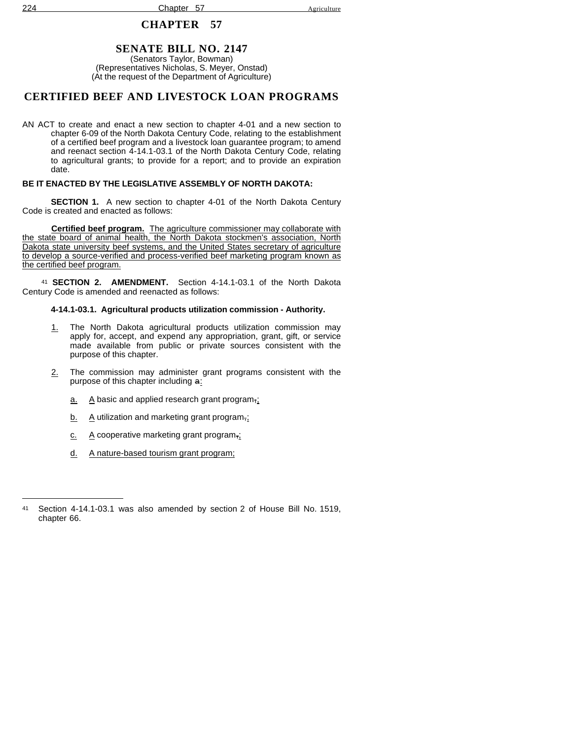# **SENATE BILL NO. 2147**

(Senators Taylor, Bowman) (Representatives Nicholas, S. Meyer, Onstad) (At the request of the Department of Agriculture)

# **CERTIFIED BEEF AND LIVESTOCK LOAN PROGRAMS**

AN ACT to create and enact a new section to chapter 4-01 and a new section to chapter 6-09 of the North Dakota Century Code, relating to the establishment of a certified beef program and a livestock loan guarantee program; to amend and reenact section 4-14.1-03.1 of the North Dakota Century Code, relating to agricultural grants; to provide for a report; and to provide an expiration date.

### **BE IT ENACTED BY THE LEGISLATIVE ASSEMBLY OF NORTH DAKOTA:**

**SECTION 1.** A new section to chapter 4-01 of the North Dakota Century Code is created and enacted as follows:

**Certified beef program.** The agriculture commissioner may collaborate with the state board of animal health, the North Dakota stockmen's association, North Dakota state university beef systems, and the United States secretary of agriculture to develop a source-verified and process-verified beef marketing program known as the certified beef program.

<sup>41</sup> **SECTION 2. AMENDMENT.** Section 4-14.1-03.1 of the North Dakota Century Code is amended and reenacted as follows:

## **4-14.1-03.1. Agricultural products utilization commission - Authority.**

- 1. The North Dakota agricultural products utilization commission may apply for, accept, and expend any appropriation, grant, gift, or service made available from public or private sources consistent with the purpose of this chapter.
- 2. The commission may administer grant programs consistent with the purpose of this chapter including  $a$ .
	- $\underline{a}$ . A basic and applied research grant program,
	- b. A utilization and marketing grant program,;
	- $c.$  A cooperative marketing grant program,
	- d. A nature-based tourism grant program;

<sup>41</sup> Section 4-14.1-03.1 was also amended by section 2 of House Bill No. 1519, chapter 66.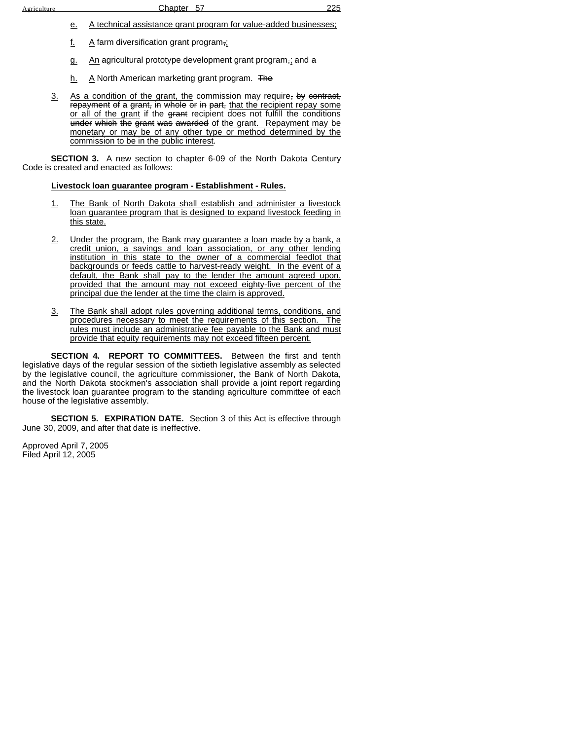- e. A technical assistance grant program for value-added businesses;
- f. A farm diversification grant program $\overline{\mathfrak{n}}$ ;
- g. An agricultural prototype development grant program, and a
- h. A North American marketing grant program. The
- 3. As a condition of the grant, the commission may require, by contract, repayment of a grant, in whole or in part, that the recipient repay some or all of the grant if the grant recipient does not fulfill the conditions under which the grant was awarded of the grant. Repayment may be monetary or may be of any other type or method determined by the commission to be in the public interest.

**SECTION 3.** A new section to chapter 6-09 of the North Dakota Century Code is created and enacted as follows:

### **Livestock loan guarantee program - Establishment - Rules.**

- 1. The Bank of North Dakota shall establish and administer a livestock loan guarantee program that is designed to expand livestock feeding in this state.
- 2. Under the program, the Bank may guarantee a loan made by a bank, a credit union, a savings and loan association, or any other lending institution in this state to the owner of a commercial feedlot that backgrounds or feeds cattle to harvest-ready weight. In the event of a default, the Bank shall pay to the lender the amount agreed upon, provided that the amount may not exceed eighty-five percent of the principal due the lender at the time the claim is approved.
- 3. The Bank shall adopt rules governing additional terms, conditions, and procedures necessary to meet the requirements of this section. The rules must include an administrative fee payable to the Bank and must provide that equity requirements may not exceed fifteen percent.

**SECTION 4. REPORT TO COMMITTEES.** Between the first and tenth legislative days of the regular session of the sixtieth legislative assembly as selected by the legislative council, the agriculture commissioner, the Bank of North Dakota, and the North Dakota stockmen's association shall provide a joint report regarding the livestock loan guarantee program to the standing agriculture committee of each house of the legislative assembly.

**SECTION 5. EXPIRATION DATE.** Section 3 of this Act is effective through June 30, 2009, and after that date is ineffective.

Approved April 7, 2005 Filed April 12, 2005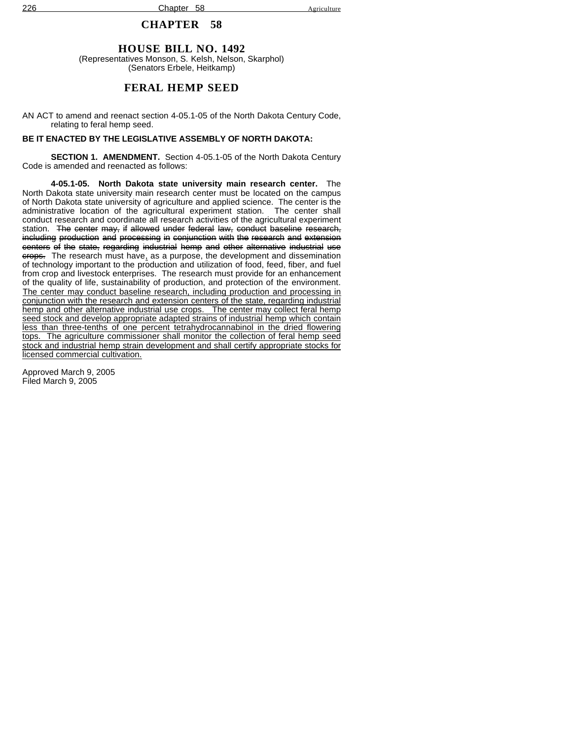# **HOUSE BILL NO. 1492**

(Representatives Monson, S. Kelsh, Nelson, Skarphol) (Senators Erbele, Heitkamp)

# **FERAL HEMP SEED**

AN ACT to amend and reenact section 4-05.1-05 of the North Dakota Century Code, relating to feral hemp seed.

### **BE IT ENACTED BY THE LEGISLATIVE ASSEMBLY OF NORTH DAKOTA:**

**SECTION 1. AMENDMENT.** Section 4-05.1-05 of the North Dakota Century Code is amended and reenacted as follows:

**4-05.1-05. North Dakota state university main research center.** The North Dakota state university main research center must be located on the campus of North Dakota state university of agriculture and applied science. The center is the administrative location of the agricultural experiment station. The center shall conduct research and coordinate all research activities of the agricultural experiment station. The center may, if allowed under federal law, conduct baseline research, including production and processing in conjunction with the research and extension centers of the state, regarding industrial hemp and other alternative industrial use erops. The research must have, as a purpose, the development and dissemination of technology important to the production and utilization of food, feed, fiber, and fuel from crop and livestock enterprises. The research must provide for an enhancement of the quality of life, sustainability of production, and protection of the environment. The center may conduct baseline research, including production and processing in conjunction with the research and extension centers of the state, regarding industrial hemp and other alternative industrial use crops. The center may collect feral hemp seed stock and develop appropriate adapted strains of industrial hemp which contain less than three-tenths of one percent tetrahydrocannabinol in the dried flowering tops. The agriculture commissioner shall monitor the collection of feral hemp seed stock and industrial hemp strain development and shall certify appropriate stocks for licensed commercial cultivation.

Approved March 9, 2005 Filed March 9, 2005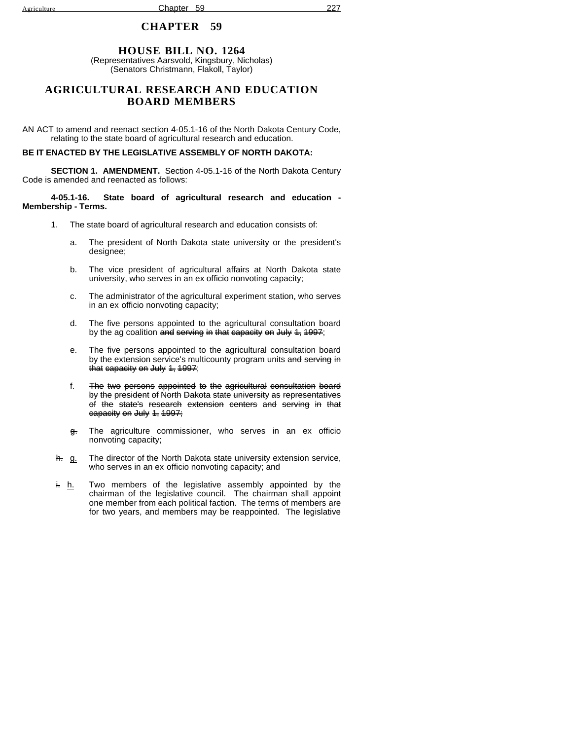## **HOUSE BILL NO. 1264**

(Representatives Aarsvold, Kingsbury, Nicholas) (Senators Christmann, Flakoll, Taylor)

## **AGRICULTURAL RESEARCH AND EDUCATION BOARD MEMBERS**

AN ACT to amend and reenact section 4-05.1-16 of the North Dakota Century Code, relating to the state board of agricultural research and education.

#### **BE IT ENACTED BY THE LEGISLATIVE ASSEMBLY OF NORTH DAKOTA:**

**SECTION 1. AMENDMENT.** Section 4-05.1-16 of the North Dakota Century Code is amended and reenacted as follows:

#### **4-05.1-16. State board of agricultural research and education - Membership - Terms.**

- 1. The state board of agricultural research and education consists of:
	- a. The president of North Dakota state university or the president's designee;
	- b. The vice president of agricultural affairs at North Dakota state university, who serves in an ex officio nonvoting capacity;
	- c. The administrator of the agricultural experiment station, who serves in an ex officio nonvoting capacity;
	- d. The five persons appointed to the agricultural consultation board by the ag coalition and serving in that capacity on July 1, 1997;
	- e. The five persons appointed to the agricultural consultation board by the extension service's multicounty program units and serving in that capacity on July 1, 1997;
	- f. The two persons appointed to the agricultural consultation board by the president of North Dakota state university as representatives of the state's research extension centers and serving in that capacity on July 1, 1997;
	- g. The agriculture commissioner, who serves in an ex officio nonvoting capacity;
- h. g. The director of the North Dakota state university extension service, who serves in an ex officio nonvoting capacity; and
- $\frac{h}{h}$ . Two members of the legislative assembly appointed by the chairman of the legislative council. The chairman shall appoint one member from each political faction. The terms of members are for two years, and members may be reappointed. The legislative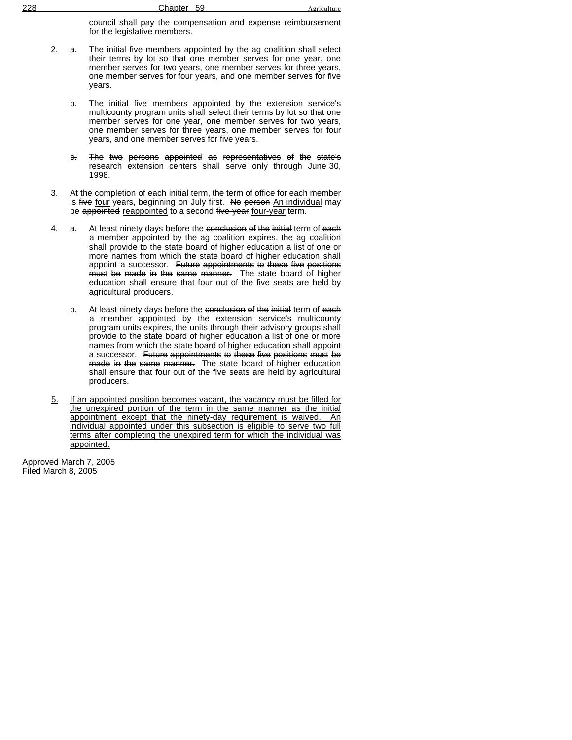| 228 | 59<br>Chapter | Agriculture |
|-----|---------------|-------------|
|     |               |             |

council shall pay the compensation and expense reimbursement for the legislative members.

- 2. a. The initial five members appointed by the ag coalition shall select their terms by lot so that one member serves for one year, one member serves for two years, one member serves for three years, one member serves for four years, and one member serves for five years.
	- b. The initial five members appointed by the extension service's multicounty program units shall select their terms by lot so that one member serves for one year, one member serves for two years, one member serves for three years, one member serves for four years, and one member serves for five years.
	- c. The two persons appointed as representatives of the state's research extension centers shall serve only through June 30, 1998.
- 3. At the completion of each initial term, the term of office for each member is five four years, beginning on July first. No person An individual may be appointed reappointed to a second five-year four-year term.
- 4. a. At least ninety days before the conclusion of the initial term of each a member appointed by the ag coalition expires, the ag coalition shall provide to the state board of higher education a list of one or more names from which the state board of higher education shall appoint a successor. Future appointments to these five positions must be made in the same manner. The state board of higher education shall ensure that four out of the five seats are held by agricultural producers.
	- b. At least ninety days before the conclusion of the initial term of each a member appointed by the extension service's multicounty program units expires, the units through their advisory groups shall provide to the state board of higher education a list of one or more names from which the state board of higher education shall appoint a successor. Future appointments to these five positions must be made in the same manner. The state board of higher education shall ensure that four out of the five seats are held by agricultural producers.
- 5. If an appointed position becomes vacant, the vacancy must be filled for the unexpired portion of the term in the same manner as the initial appointment except that the ninety-day requirement is waived. An individual appointed under this subsection is eligible to serve two full terms after completing the unexpired term for which the individual was appointed.

Approved March 7, 2005 Filed March 8, 2005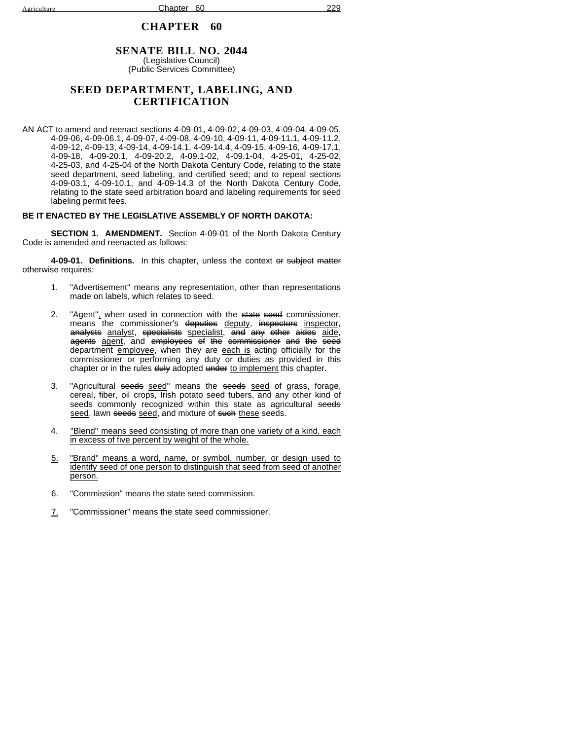### **SENATE BILL NO. 2044** (Legislative Council)

(Public Services Committee)

## **SEED DEPARTMENT, LABELING, AND CERTIFICATION**

AN ACT to amend and reenact sections 4-09-01, 4-09-02, 4-09-03, 4-09-04, 4-09-05, 4-09-06, 4-09-06.1, 4-09-07, 4-09-08, 4-09-10, 4-09-11, 4-09-11.1, 4-09-11.2, 4-09-12, 4-09-13, 4-09-14, 4-09-14.1, 4-09-14.4, 4-09-15, 4-09-16, 4-09-17.1, 4-09-18, 4-09-20.1, 4-09-20.2, 4-09.1-02, 4-09.1-04, 4-25-01, 4-25-02, 4-25-03, and 4-25-04 of the North Dakota Century Code, relating to the state seed department, seed labeling, and certified seed; and to repeal sections 4-09-03.1, 4-09-10.1, and 4-09-14.3 of the North Dakota Century Code, relating to the state seed arbitration board and labeling requirements for seed labeling permit fees.

### **BE IT ENACTED BY THE LEGISLATIVE ASSEMBLY OF NORTH DAKOTA:**

**SECTION 1. AMENDMENT.** Section 4-09-01 of the North Dakota Century Code is amended and reenacted as follows:

**4-09-01. Definitions.** In this chapter, unless the context or subject matter otherwise requires:

- 1. "Advertisement" means any representation, other than representations made on labels, which relates to seed.
- 2. "Agent", when used in connection with the state seed commissioner, means the commissioner's deputies deputy, inspectors inspector, a<del>nalysts</del> analyst, <del>specialists</del> specialist, a<del>nd any other aides</del> aide, agents agent, and employees of the commissioner and the seed department employee, when they are each is acting officially for the commissioner or performing any duty or duties as provided in this chapter or in the rules duly adopted under to implement this chapter.
- 3. "Agricultural seeds seed" means the seeds seed of grass, forage, cereal, fiber, oil crops, Irish potato seed tubers, and any other kind of seeds commonly recognized within this state as agricultural seeds seed, lawn seeds seed, and mixture of such these seeds.
- 4. "Blend" means seed consisting of more than one variety of a kind, each in excess of five percent by weight of the whole.
- 5. "Brand" means a word, name, or symbol, number, or design used to identify seed of one person to distinguish that seed from seed of another person.
- 6. "Commission" means the state seed commission.
- 7. "Commissioner" means the state seed commissioner.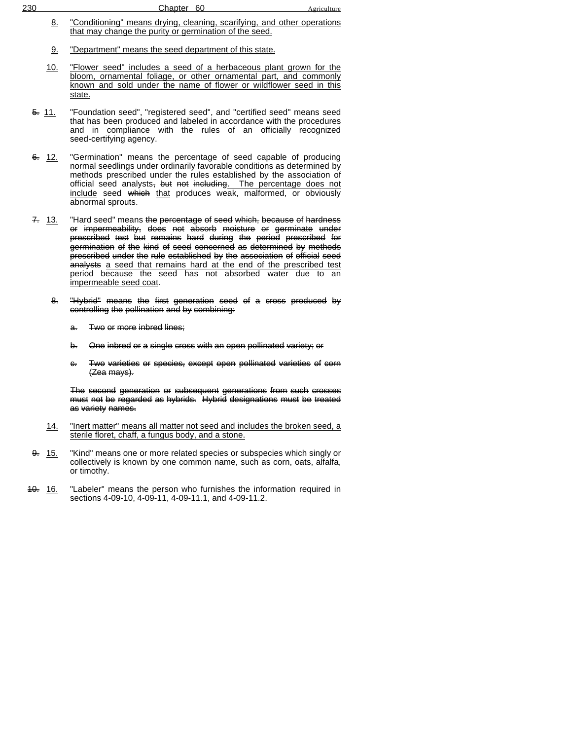- 8. "Conditioning" means drying, cleaning, scarifying, and other operations that may change the purity or germination of the seed.
- 9. "Department" means the seed department of this state.
- 10. "Flower seed" includes a seed of a herbaceous plant grown for the bloom, ornamental foliage, or other ornamental part, and commonly known and sold under the name of flower or wildflower seed in this state.
- 5. 11. "Foundation seed", "registered seed", and "certified seed" means seed that has been produced and labeled in accordance with the procedures and in compliance with the rules of an officially recognized seed-certifying agency.
- 6. 12. "Germination" means the percentage of seed capable of producing normal seedlings under ordinarily favorable conditions as determined by methods prescribed under the rules established by the association of official seed analysts<del>, but not including</del>. The percentage does not include seed <del>which</del> that produces weak, malformed, or obviously abnormal sprouts.
- 7. 13. "Hard seed" means the percentage of seed which, because of hardness or impermeability, does not absorb moisture or germinate under prescribed test but remains hard during the period prescribed for germination of the kind of seed concerned as determined by methods prescribed under the rule established by the association of official seed analysts a seed that remains hard at the end of the prescribed test period because the seed has not absorbed water due to an impermeable seed coat.
	- 8. "Hybrid" means the first generation seed of a cross produced by controlling the pollination and by combining:
		- a. Two or more inbred lines;
		- b. One inbred or a single cross with an open pollinated variety; or
		- c. Two varieties or species, except open pollinated varieties of corn (Zea mays).

The second generation or subsequent generations from such crosses must not be regarded as hybrids. Hybrid designations must be treated as variety names.

- 14. "Inert matter" means all matter not seed and includes the broken seed, a sterile floret, chaff, a fungus body, and a stone.
- 9. 15. "Kind" means one or more related species or subspecies which singly or collectively is known by one common name, such as corn, oats, alfalfa, or timothy.
- 40. 16. "Labeler" means the person who furnishes the information required in sections 4-09-10, 4-09-11, 4-09-11.1, and 4-09-11.2.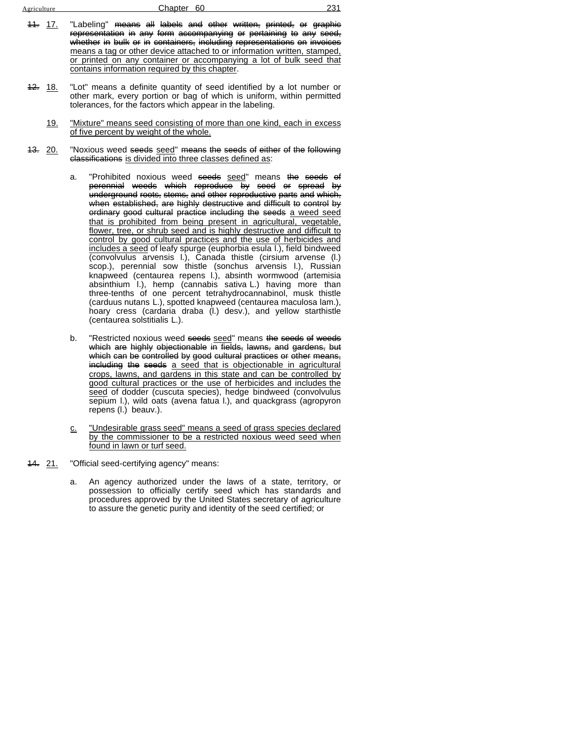| Agriculture        | 231<br>Chapter 60                                                                                                                                                                                                                                                                                                                                                                                                                   |
|--------------------|-------------------------------------------------------------------------------------------------------------------------------------------------------------------------------------------------------------------------------------------------------------------------------------------------------------------------------------------------------------------------------------------------------------------------------------|
| <del>11.</del> 17. | "Labeling" <del>means all labels and other written, printed, or graphic</del><br>representation in any form accompanying or pertaining to any seed,<br>whether in bulk or in containers, including representations on invoices<br>means a tag or other device attached to or information written, stamped,<br>or printed on any container or accompanying a lot of bulk seed that<br>contains information required by this chapter. |

- 12. 18. "Lot" means a definite quantity of seed identified by a lot number or other mark, every portion or bag of which is uniform, within permitted tolerances, for the factors which appear in the labeling.
	- 19. "Mixture" means seed consisting of more than one kind, each in excess of five percent by weight of the whole.
- 13. 20. "Noxious weed seeds seed" means the seeds of either of the following classifications is divided into three classes defined as:
	- a. "Prohibited noxious weed seeds seed" means the seeds of perennial weeds which reproduce by seed or spread by underground roots, stems, and other reproductive parts and which, when established, are highly destructive and difficult to control by ordinary good cultural practice including the seeds a weed seed that is prohibited from being present in agricultural, vegetable, flower, tree, or shrub seed and is highly destructive and difficult to control by good cultural practices and the use of herbicides and includes a seed of leafy spurge (euphorbia esula l.), field bindweed (convolvulus arvensis l.), Canada thistle (cirsium arvense (l.) scop.), perennial sow thistle (sonchus arvensis l.), Russian knapweed (centaurea repens l.), absinth wormwood (artemisia absinthium l.), hemp (cannabis sativa L.) having more than three-tenths of one percent tetrahydrocannabinol, musk thistle (carduus nutans L.), spotted knapweed (centaurea maculosa lam.), hoary cress (cardaria draba (l.) desv.), and yellow starthistle (centaurea solstitialis L.).
	- b. "Restricted noxious weed seeds seed" means the seeds of weeds which are highly objectionable in fields, lawns, and gardens, but which can be controlled by good cultural practices or other means, including the seeds a seed that is objectionable in agricultural crops, lawns, and gardens in this state and can be controlled by good cultural practices or the use of herbicides and includes the seed of dodder (cuscuta species), hedge bindweed (convolvulus sepium I.), wild oats (avena fatua I.), and quackgrass (agropyron repens (l.) beauv.).
	- c. "Undesirable grass seed" means a seed of grass species declared by the commissioner to be a restricted noxious weed seed when found in lawn or turf seed.
- 14. 21. "Official seed-certifying agency" means:
	- a. An agency authorized under the laws of a state, territory, or possession to officially certify seed which has standards and procedures approved by the United States secretary of agriculture to assure the genetic purity and identity of the seed certified; or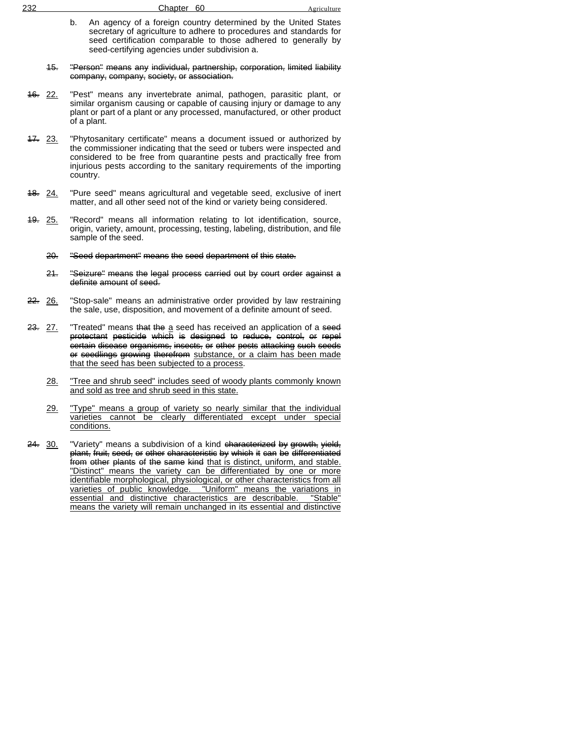| 232 | Chapter 60                                                                                                                                                                                                                                              | Agriculture |
|-----|---------------------------------------------------------------------------------------------------------------------------------------------------------------------------------------------------------------------------------------------------------|-------------|
| b.  | An agency of a foreign country determined by the United States<br>secretary of agriculture to adhere to procedures and standards for<br>seed certification comparable to those adhered to generally by<br>seed-certifying agencies under subdivision a. |             |

- 15. "Person" means any individual, partnership, corporation, limited liability company, company, society, or association.
- 16. 22. "Pest" means any invertebrate animal, pathogen, parasitic plant, or similar organism causing or capable of causing injury or damage to any plant or part of a plant or any processed, manufactured, or other product of a plant.
- 47. 23. "Phytosanitary certificate" means a document issued or authorized by the commissioner indicating that the seed or tubers were inspected and considered to be free from quarantine pests and practically free from injurious pests according to the sanitary requirements of the importing country.
- 48. 24. "Pure seed" means agricultural and vegetable seed, exclusive of inert matter, and all other seed not of the kind or variety being considered.
- 19. 25. "Record" means all information relating to lot identification, source, origin, variety, amount, processing, testing, labeling, distribution, and file sample of the seed.
	- 20. "Seed department" means the seed department of this state.
	- 21. "Seizure" means the legal process carried out by court order against a definite amount of seed.
- 22. 26. "Stop-sale" means an administrative order provided by law restraining the sale, use, disposition, and movement of a definite amount of seed.
- 23. 27. "Treated" means that the a seed has received an application of a seed protectant pesticide which is designed to reduce, control, or repel certain disease organisms, insects, or other pests attacking such seeds or seedlings growing therefrom substance, or a claim has been made that the seed has been subjected to a process.
	- 28. "Tree and shrub seed" includes seed of woody plants commonly known and sold as tree and shrub seed in this state.
	- 29. "Type" means a group of variety so nearly similar that the individual varieties cannot be clearly differentiated except under special conditions.
- 24. 30. "Variety" means a subdivision of a kind characterized by growth, yield, plant, fruit, seed, or other characteristic by which it can be differentiated from other plants of the same kind that is distinct, uniform, and stable. "Distinct" means the variety can be differentiated by one or more identifiable morphological, physiological, or other characteristics from all varieties of public knowledge. "Uniform" means the variations in essential and distinctive characteristics are describable. "Stable" means the variety will remain unchanged in its essential and distinctive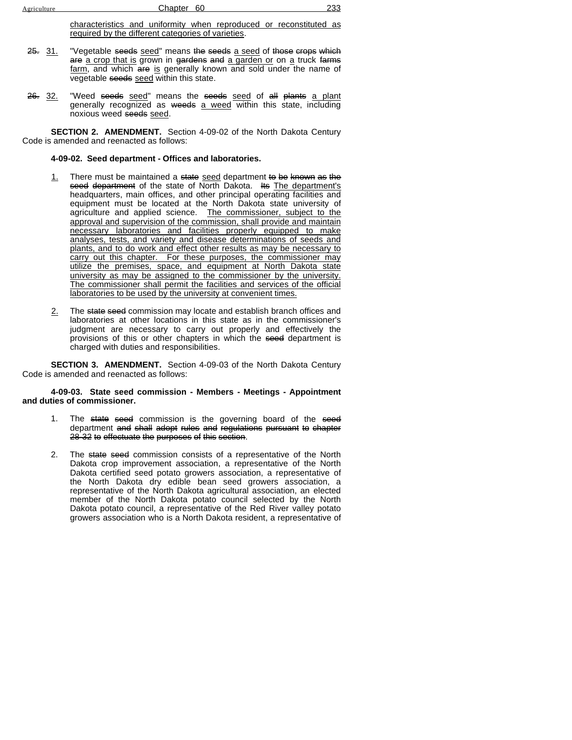characteristics and uniformity when reproduced or reconstituted as required by the different categories of varieties.

- 25. 31. "Vegetable seeds seed" means the seeds a seed of those crops which are a crop that is grown in gardens and a garden or on a truck farms farm, and which are is generally known and sold under the name of vegetable seeds seed within this state.
- 26. 32. "Weed seeds seed" means the seeds seed of all plants a plant generally recognized as weeds a weed within this state, including noxious weed seeds seed.

**SECTION 2. AMENDMENT.** Section 4-09-02 of the North Dakota Century Code is amended and reenacted as follows:

#### **4-09-02. Seed department - Offices and laboratories.**

- 1. There must be maintained a state seed department to be known as the seed department of the state of North Dakota. Its The department's headquarters, main offices, and other principal operating facilities and equipment must be located at the North Dakota state university of agriculture and applied science. The commissioner, subject to the approval and supervision of the commission, shall provide and maintain necessary laboratories and facilities properly equipped to make analyses, tests, and variety and disease determinations of seeds and plants, and to do work and effect other results as may be necessary to carry out this chapter. For these purposes, the commissioner may utilize the premises, space, and equipment at North Dakota state university as may be assigned to the commissioner by the university. The commissioner shall permit the facilities and services of the official laboratories to be used by the university at convenient times.
- 2. The state seed commission may locate and establish branch offices and laboratories at other locations in this state as in the commissioner's judgment are necessary to carry out properly and effectively the provisions of this or other chapters in which the seed department is charged with duties and responsibilities.

**SECTION 3. AMENDMENT.** Section 4-09-03 of the North Dakota Century Code is amended and reenacted as follows:

#### **4-09-03. State seed commission - Members - Meetings - Appointment and duties of commissioner.**

- 1. The state seed commission is the governing board of the seed department and shall adopt rules and regulations pursuant to chapter 28-32 to effectuate the purposes of this section.
- 2. The state seed commission consists of a representative of the North Dakota crop improvement association, a representative of the North Dakota certified seed potato growers association, a representative of the North Dakota dry edible bean seed growers association, a representative of the North Dakota agricultural association, an elected member of the North Dakota potato council selected by the North Dakota potato council, a representative of the Red River valley potato growers association who is a North Dakota resident, a representative of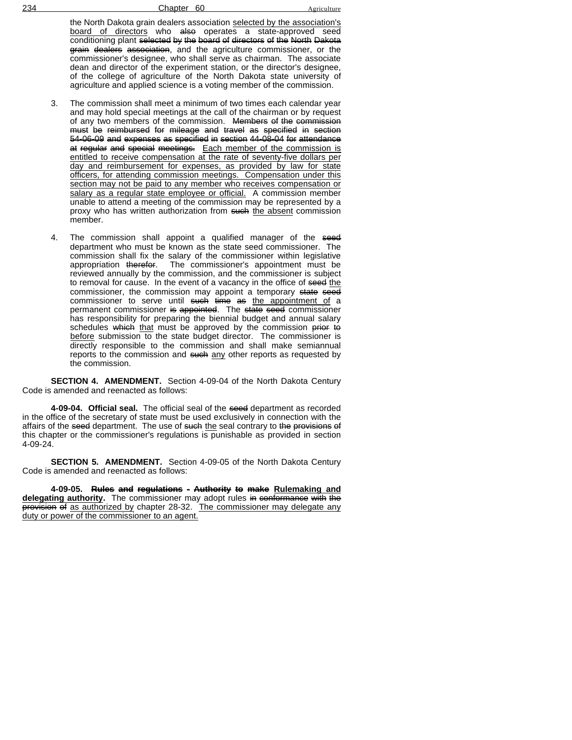the North Dakota grain dealers association selected by the association's board of directors who also operates a state-approved seed conditioning plant selected by the board of directors of the North Dakota grain dealers association, and the agriculture commissioner, or the commissioner's designee, who shall serve as chairman. The associate dean and director of the experiment station, or the director's designee, of the college of agriculture of the North Dakota state university of agriculture and applied science is a voting member of the commission.

- 3. The commission shall meet a minimum of two times each calendar year and may hold special meetings at the call of the chairman or by request of any two members of the commission. Members of the commission must be reimbursed for mileage and travel as specified in section 54-06-09 and expenses as specified in section 44-08-04 for attendance at regular and special meetings. Each member of the commission is entitled to receive compensation at the rate of seventy-five dollars per day and reimbursement for expenses, as provided by law for state officers, for attending commission meetings. Compensation under this section may not be paid to any member who receives compensation or salary as a regular state employee or official. A commission member unable to attend a meeting of the commission may be represented by a proxy who has written authorization from such the absent commission member.
- 4. The commission shall appoint a qualified manager of the seed department who must be known as the state seed commissioner. The commission shall fix the salary of the commissioner within legislative appropriation therefor. The commissioner's appointment must be reviewed annually by the commission, and the commissioner is subject to removal for cause. In the event of a vacancy in the office of seed the commissioner, the commission may appoint a temporary state seed commissioner to serve until <del>such time as</del> <u>the appointment of</u> a permanent commissioner is appointed. The state seed commissioner has responsibility for preparing the biennial budget and annual salary schedules which that must be approved by the commission prior to before submission to the state budget director. The commissioner is directly responsible to the commission and shall make semiannual reports to the commission and such any other reports as requested by the commission.

**SECTION 4. AMENDMENT.** Section 4-09-04 of the North Dakota Century Code is amended and reenacted as follows:

**4-09-04. Official seal.** The official seal of the seed department as recorded in the office of the secretary of state must be used exclusively in connection with the affairs of the seed department. The use of such the seal contrary to the provisions of this chapter or the commissioner's regulations is punishable as provided in section 4-09-24.

**SECTION 5. AMENDMENT.** Section 4-09-05 of the North Dakota Century Code is amended and reenacted as follows:

**4-09-05. Rules and regulations - Authority to make Rulemaking and** delegating authority. The commissioner may adopt rules in conformance with the provision of as authorized by chapter 28-32. The commissioner may delegate any duty or power of the commissioner to an agent.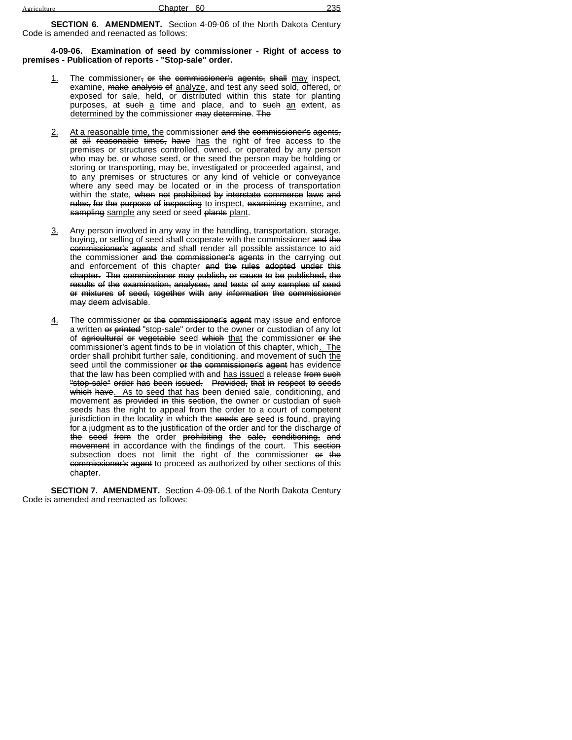**SECTION 6. AMENDMENT.** Section 4-09-06 of the North Dakota Century Code is amended and reenacted as follows:

**4-09-06. Examination of seed by commissioner - Right of access to premises - Publication of reports - "Stop-sale" order.**

- 1. The commissioner,  $\Theta$  the commissioner's agents, shall may inspect, examine, make analysis of analyze, and test any seed sold, offered, or exposed for sale, held, or distributed within this state for planting purposes, at such a time and place, and to such an extent, as determined by the commissioner may determine. The
- 2. At a reasonable time, the commissioner and the commissioner's agents, at all reasonable times, have has the right of free access to the premises or structures controlled, owned, or operated by any person who may be, or whose seed, or the seed the person may be holding or storing or transporting, may be, investigated or proceeded against, and to any premises or structures or any kind of vehicle or conveyance where any seed may be located or in the process of transportation within the state, when not prohibited by interstate commerce laws and rules, for the purpose of inspecting to inspect, examining examine, and sampling sample any seed or seed plants plant.
- 3. Any person involved in any way in the handling, transportation, storage, buying, or selling of seed shall cooperate with the commissioner and the commissioner's agents and shall render all possible assistance to aid the commissioner and the commissioner's agents in the carrying out and enforcement of this chapter and the rules adopted under this chapter. The commissioner may publish, or cause to be published, the results of the examination, analyses, and tests of any samples of seed or mixtures of seed, together with any information the commissioner may deem advisable.
- 4. The commissioner or the commissioner's agent may issue and enforce a written or printed "stop-sale" order to the owner or custodian of any lot of agricultural or vegetable seed which that the commissioner or the commissioner's agent finds to be in violation of this chapter, which. The order shall prohibit further sale, conditioning, and movement of such the seed until the commissioner or the commissioner's agent has evidence that the law has been complied with and has issued a release from such "stop-sale" order has been issued. Provided, that in respect to seeds which have. As to seed that has been denied sale, conditioning, and movement as provided in this section, the owner or custodian of such seeds has the right to appeal from the order to a court of competent jurisdiction in the locality in which the seeds are seed is found, praying for a judgment as to the justification of the order and for the discharge of the seed from the order prohibiting the sale, conditioning, and movement in accordance with the findings of the court. This section subsection does not limit the right of the commissioner or the commissioner's agent to proceed as authorized by other sections of this chapter.

**SECTION 7. AMENDMENT.** Section 4-09-06.1 of the North Dakota Century Code is amended and reenacted as follows: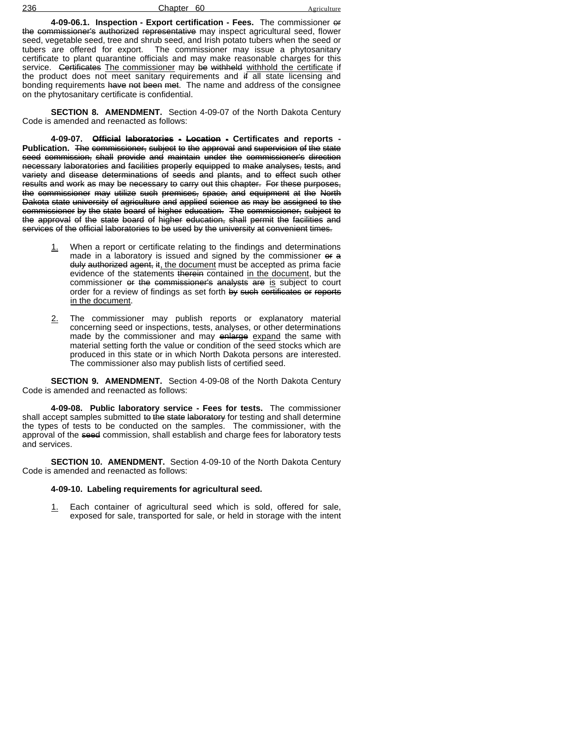236 Chapter 60

**4-09-06.1. Inspection - Export certification - Fees.** The commissioner or the commissioner's authorized representative may inspect agricultural seed, flower seed, vegetable seed, tree and shrub seed, and Irish potato tubers when the seed or tubers are offered for export. The commissioner may issue a phytosanitary certificate to plant quarantine officials and may make reasonable charges for this service. Certificates The commissioner may be withheld withhold the certificate if the product does not meet sanitary requirements and if all state licensing and bonding requirements <del>have not been met</del>. The name and address of the consignee on the phytosanitary certificate is confidential.

**SECTION 8. AMENDMENT.** Section 4-09-07 of the North Dakota Century Code is amended and reenacted as follows:

**4-09-07. Official laboratories - Location - Certificates and reports - Publication.** The commissioner, subject to the approval and supervision of the state seed commission, shall provide and maintain under the commissioner's direction necessary laboratories and facilities properly equipped to make analyses, tests, and variety and disease determinations of seeds and plants, and to effect such other results and work as may be necessary to carry out this chapter. For these purposes, the commissioner may utilize such premises, space, and equipment at the North Dakota state university of agriculture and applied science as may be assigned to the commissioner by the state board of higher education. The commissioner, subject to the approval of the state board of higher education, shall permit the facilities and services of the official laboratories to be used by the university at convenient times.

- 1. When a report or certificate relating to the findings and determinations made in a laboratory is issued and signed by the commissioner or a duly authorized agent, it, the document must be accepted as prima facie evidence of the statements therein contained in the document, but the commissioner or the commissioner's analysts are is subject to court order for a review of findings as set forth by such certificates or reports in the document.
- 2. The commissioner may publish reports or explanatory material concerning seed or inspections, tests, analyses, or other determinations made by the commissioner and may enlarge expand the same with material setting forth the value or condition of the seed stocks which are produced in this state or in which North Dakota persons are interested. The commissioner also may publish lists of certified seed.

**SECTION 9. AMENDMENT.** Section 4-09-08 of the North Dakota Century Code is amended and reenacted as follows:

**4-09-08. Public laboratory service - Fees for tests.** The commissioner shall accept samples submitted to the state laboratory for testing and shall determine the types of tests to be conducted on the samples. The commissioner, with the approval of the seed commission, shall establish and charge fees for laboratory tests and services.

**SECTION 10. AMENDMENT.** Section 4-09-10 of the North Dakota Century Code is amended and reenacted as follows:

### **4-09-10. Labeling requirements for agricultural seed.**

1. Each container of agricultural seed which is sold, offered for sale, exposed for sale, transported for sale, or held in storage with the intent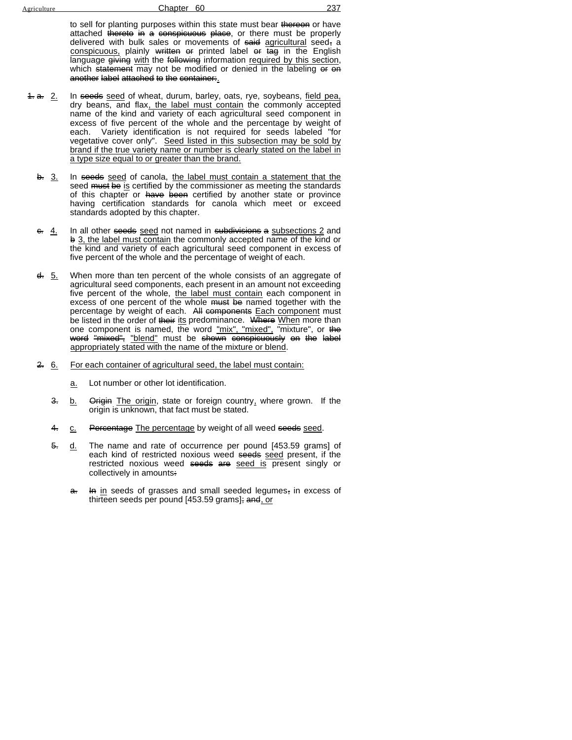to sell for planting purposes within this state must bear thereon or have attached thereto in a conspicuous place, or there must be properly delivered with bulk sales or movements of said agricultural seed, a conspicuous, plainly written or printed label or tag in the English language giving with the following information required by this section, which statement may not be modified or denied in the labeling or on another label attached to the container:.

- 1. a. 2. In seeds seed of wheat, durum, barley, oats, rye, soybeans, field pea, dry beans, and flax, the label must contain the commonly accepted name of the kind and variety of each agricultural seed component in excess of five percent of the whole and the percentage by weight of each. Variety identification is not required for seeds labeled "for vegetative cover only". Seed listed in this subsection may be sold by brand if the true variety name or number is clearly stated on the label in a type size equal to or greater than the brand.
	- b. 3. In seeds seed of canola, the label must contain a statement that the seed must be is certified by the commissioner as meeting the standards of this chapter or have been certified by another state or province having certification standards for canola which meet or exceed standards adopted by this chapter.
	- $e. 4.$  In all other seeds seed not named in subdivisions a subsections 2 and b 3, the label must contain the commonly accepted name of the kind or the kind and variety of each agricultural seed component in excess of five percent of the whole and the percentage of weight of each.
	- d. 5. When more than ten percent of the whole consists of an aggregate of agricultural seed components, each present in an amount not exceeding five percent of the whole, the label must contain each component in excess of one percent of the whole must be named together with the percentage by weight of each. All components Each component must be listed in the order of their its predominance. Where When more than one component is named, the word "mix", "mixed", "mixture", or the word "mixed", "blend" must be shown conspicuously on the label appropriately stated with the name of the mixture or blend.
	- 2. 6. For each container of agricultural seed, the label must contain:
		- a. Lot number or other lot identification.
		- 3. b. Origin The origin, state or foreign country, where grown. If the origin is unknown, that fact must be stated.
		- 4. c. Percentage The percentage by weight of all weed seeds seed.
		- 5. d. The name and rate of occurrence per pound [453.59 grams] of each kind of restricted noxious weed seeds seed present, if the restricted noxious weed seeds are seed is present singly or collectively in amounts:
			- a. In in seeds of grasses and small seeded legumes, in excess of thirteen seeds per pound [453.59 grams]; and, or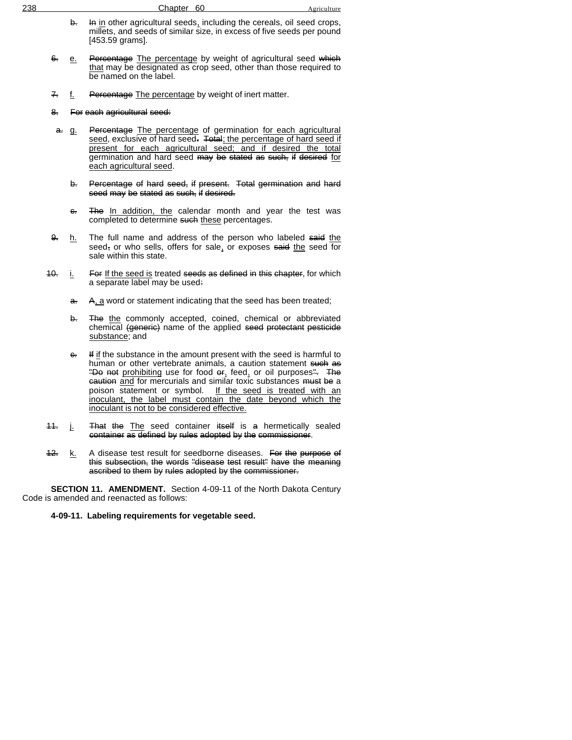| 238 | Chapter 60                                                                                                                                                         | Agriculture |
|-----|--------------------------------------------------------------------------------------------------------------------------------------------------------------------|-------------|
|     | In in other agricultural seeds, including the cereals, oil seed crops,<br>millets, and seeds of similar size, in excess of five seeds per pound<br>[453.59 grams]. |             |

- 6. e. Percentage The percentage by weight of agricultural seed which that may be designated as crop seed, other than those required to be named on the label.
- 7. f. Percentage The percentage by weight of inert matter.

#### 8. For each agricultural seed:

- a. g. Percentage The percentage of germination for each agricultural seed, exclusive of hard seed. Total; the percentage of hard seed if present for each agricultural seed; and if desired the total germination and hard seed may be stated as such, if desired for each agricultural seed.
	- b. Percentage of hard seed, if present. Total germination and hard seed may be stated as such, if desired.
	- e. The In addition, the calendar month and year the test was completed to determine such these percentages.
- 9. h. The full name and address of the person who labeled said the seed, or who sells, offers for sale, or exposes said the seed for sale within this state.
- $10.$  i. For If the seed is treated seeds as defined in this chapter, for which a separate label may be used:
	- a. A, a word or statement indicating that the seed has been treated;
	- b. The the commonly accepted, coined, chemical or abbreviated chemical (generie) name of the applied seed protectant pesticide substance; and
	- $e$ . If if the substance in the amount present with the seed is harmful to human or other vertebrate animals, a caution statement such as "Do not prohibiting use for food  $er_i$  feed, or oil purposes". The eaution and for mercurials and similar toxic substances must be a poison statement or symbol. If the seed is treated with an inoculant, the label must contain the date beyond which the inoculant is not to be considered effective.
- 11. j. That the The seed container itself is a hermetically sealed container as defined by rules adopted by the commissioner.
- 12. k. A disease test result for seedborne diseases. For the purpose of this subsection, the words "disease test result" have the meaning ascribed to them by rules adopted by the commissioner.

**SECTION 11. AMENDMENT.** Section 4-09-11 of the North Dakota Century Code is amended and reenacted as follows:

#### **4-09-11. Labeling requirements for vegetable seed.**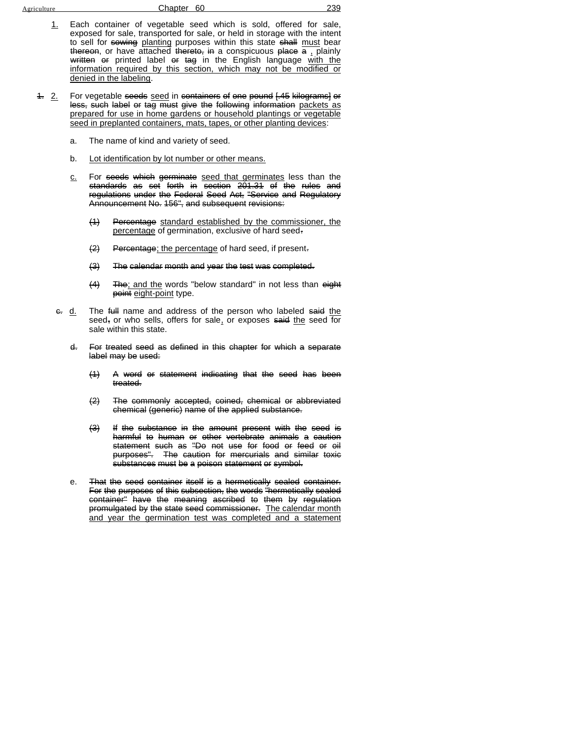| Agriculture |  |
|-------------|--|
|             |  |

#### Chapter 60 239

- 1. Each container of vegetable seed which is sold, offered for sale, exposed for sale, transported for sale, or held in storage with the intent to sell for sowing planting purposes within this state shall must bear thereon, or have attached thereto, in a conspicuous place  $\overline{a}$ , plainly written or printed label or tag in the English language with the information required by this section, which may not be modified or denied in the labeling.
- 1. 2. For vegetable seeds seed in containers of one pound [.45 kilograms] or less, such label or tag must give the following information packets as prepared for use in home gardens or household plantings or vegetable seed in preplanted containers, mats, tapes, or other planting devices:
	- a. The name of kind and variety of seed.
	- b. Lot identification by lot number or other means.
	- c. For seeds which germinate seed that germinates less than the standards as set forth in section 201.31 of the rules and regulations under the Federal Seed Act, "Service and Regulatory Announcement No. 156", and subsequent revisions:
		- (1) Percentage standard established by the commissioner, the percentage of germination, exclusive of hard seed-
		- $\left( 2 \right)$  Percentage; the percentage of hard seed, if present.
		- (3) The calendar month and year the test was completed.
		- (4) The; and the words "below standard" in not less than eight point eight-point type.
	- e. d. The full name and address of the person who labeled said the seed, or who sells, offers for sale, or exposes said the seed for sale within this state.
		- d. For treated seed as defined in this chapter for which a separate label may be used:
			- (1) A word or statement indicating that the seed has been treated.
			- (2) The commonly accepted, coined, chemical or abbreviated chemical (generic) name of the applied substance.
			- (3) If the substance in the amount present with the seed is harmful to human or other vertebrate animals a caution statement such as "Do not use for food or feed or oil purposes". The caution for mercurials and similar toxic substances must be a poison statement or symbol.
		- e. That the seed container itself is a hermetically sealed container. For the purposes of this subsection, the words "hermetically sealed container" have the meaning ascribed to them by regulation promulgated by the state seed commissioner. The calendar month and year the germination test was completed and a statement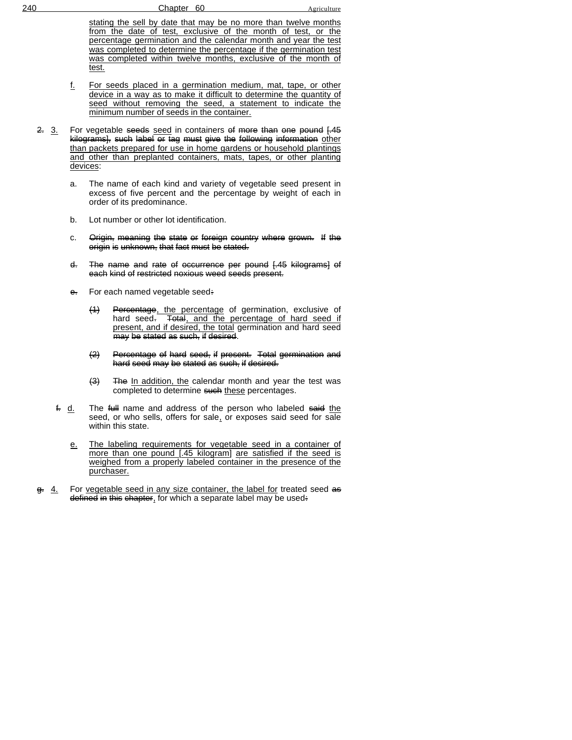stating the sell by date that may be no more than twelve months from the date of test, exclusive of the month of test, or the percentage germination and the calendar month and year the test was completed to determine the percentage if the germination test was completed within twelve months, exclusive of the month of test.

- f. For seeds placed in a germination medium, mat, tape, or other device in a way as to make it difficult to determine the quantity of seed without removing the seed, a statement to indicate the minimum number of seeds in the container.
- 2. 3. For vegetable seeds seed in containers of more than one pound [.45] kilograms], such label or tag must give the following information other than packets prepared for use in home gardens or household plantings and other than preplanted containers, mats, tapes, or other planting devices:
	- a. The name of each kind and variety of vegetable seed present in excess of five percent and the percentage by weight of each in order of its predominance.
	- b. Lot number or other lot identification.
	- c. Origin, meaning the state or foreign country where grown. If the origin is unknown, that fact must be stated.
	- d. The name and rate of occurrence per pound [.45 kilograms] of each kind of restricted noxious weed seeds present.
	- e. For each named vegetable seed:
		- (1) Percentage, the percentage of germination, exclusive of hard seed. Total, and the percentage of hard seed if present, and if desired, the total germination and hard seed may be stated as such, if desired.
		- (2) Percentage of hard seed, if present. Total germination and hard seed may be stated as such, if desired.
		- $\left(\frac{3}{2}\right)$  The In addition, the calendar month and year the test was completed to determine such these percentages.
	- $f$ . d. The full name and address of the person who labeled said the seed, or who sells, offers for sale, or exposes said seed for sale within this state.
		- e. The labeling requirements for vegetable seed in a container of more than one pound [.45 kilogram] are satisfied if the seed is weighed from a properly labeled container in the presence of the purchaser.
- g. 4. For vegetable seed in any size container, the label for treated seed as defined in this chapter, for which a separate label may be used: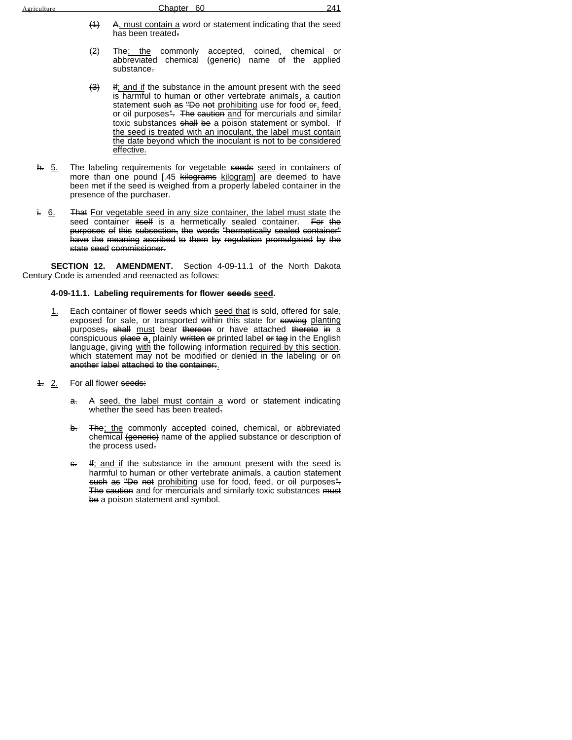| Agriculture | Chapter 60                                                   | 241 |
|-------------|--------------------------------------------------------------|-----|
|             | A, must contain a word or statement indicating that the seed |     |

- has been treated.
- <del>(2) The; the</del> commonly accepted, coined, chemical or abbreviated chemical <del>(generic)</del> name of the applied substance.
- $\left(\frac{3}{2}\right)$  If; and if the substance in the amount present with the seed is harmful to human or other vertebrate animals, a caution statement such as "Do not prohibiting use for food or, feed, or oil purposes". The caution and for mercurials and similar toxic substances shall be a poison statement or symbol. If the seed is treated with an inoculant, the label must contain the date beyond which the inoculant is not to be considered effective.
- <del>h.</del> 5. The labeling requirements for vegetable <del>seeds</del> seed in containers of more than one pound [.45 <del>kilograms</del> kilogram] are deemed to have been met if the seed is weighed from a properly labeled container in the presence of the purchaser.
- i. 6. That For vegetable seed in any size container, the label must state the seed container itself is a hermetically sealed container. For the purposes of this subsection, the words "hermetically sealed container" have the meaning ascribed to them by regulation promulgated by the state seed commissioner.

**SECTION 12. AMENDMENT.** Section 4-09-11.1 of the North Dakota Century Code is amended and reenacted as follows:

#### **4-09-11.1. Labeling requirements for flower seeds seed.**

- 1. Each container of flower seeds which seed that is sold, offered for sale, exposed for sale, or transported within this state for sowing planting purposes, shall must bear thereon or have attached thereto in a conspicuous  $\frac{\partial u}{\partial x}$  plainly written or printed label or tag in the English language, giving with the following information required by this section, which statement  $\overline{may}$  not be modified or denied in the labeling  $\overline{ep}$ another label attached to the container:.
- 1. 2. For all flower seeds:
	- a. A seed, the label must contain a word or statement indicating whether the seed has been treated.
	- b. The; the commonly accepted coined, chemical, or abbreviated chemical (generie) name of the applied substance or description of the process used.
	- $e$ . If; and if the substance in the amount present with the seed is harmful to human or other vertebrate animals, a caution statement such as "Do not prohibiting use for food, feed, or oil purposes". The caution and for mercurials and similarly toxic substances must be a poison statement and symbol.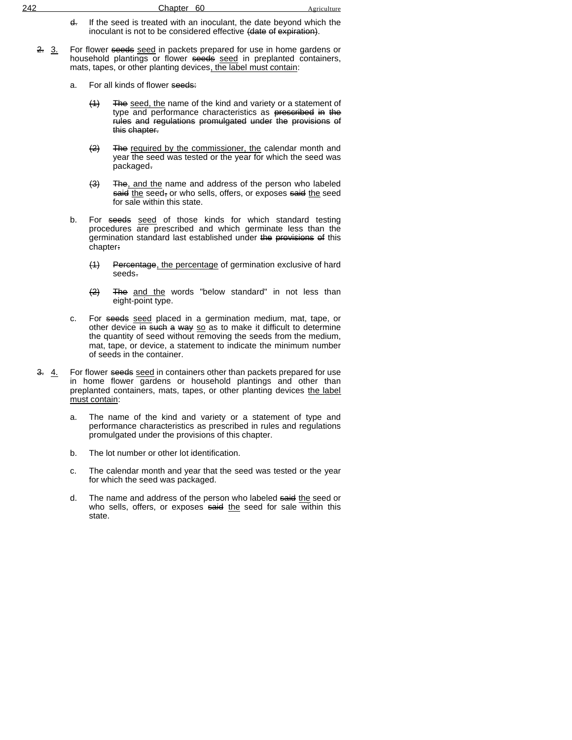| 242 | 60<br>Chapter | Agriculture |
|-----|---------------|-------------|
|     |               |             |

- d. If the seed is treated with an inoculant, the date beyond which the inoculant is not to be considered effective (date of expiration).
- 2. 3. For flower seeds seed in packets prepared for use in home gardens or household plantings or flower seeds seed in preplanted containers, mats, tapes, or other planting devices, the label must contain:
	- a. For all kinds of flower seeds:
		- (1) The seed, the name of the kind and variety or a statement of type and performance characteristics as <del>prescribed in the</del> rules and regulations promulgated under the provisions of this chapter.
		- (2) The required by the commissioner, the calendar month and year the seed was tested or the year for which the seed was packaged.
		- (3) The, and the name and address of the person who labeled said the seed, or who sells, offers, or exposes said the seed for sale within this state.
	- b. For seeds seed of those kinds for which standard testing procedures are prescribed and which germinate less than the germination standard last established under the provisions of this chapter:
		- (1) Percentage, the percentage of germination exclusive of hard seeds.
		- (2) The and the words "below standard" in not less than eight-point type.
	- c. For seeds seed placed in a germination medium, mat, tape, or other device in such a way so as to make it difficult to determine the quantity of seed without removing the seeds from the medium, mat, tape, or device, a statement to indicate the minimum number of seeds in the container.
- 3. 4. For flower seeds seed in containers other than packets prepared for use in home flower gardens or household plantings and other than preplanted containers, mats, tapes, or other planting devices the label must contain:
	- a. The name of the kind and variety or a statement of type and performance characteristics as prescribed in rules and regulations promulgated under the provisions of this chapter.
	- b. The lot number or other lot identification.
	- c. The calendar month and year that the seed was tested or the year for which the seed was packaged.
	- d. The name and address of the person who labeled said the seed or who sells, offers, or exposes said the seed for sale within this state.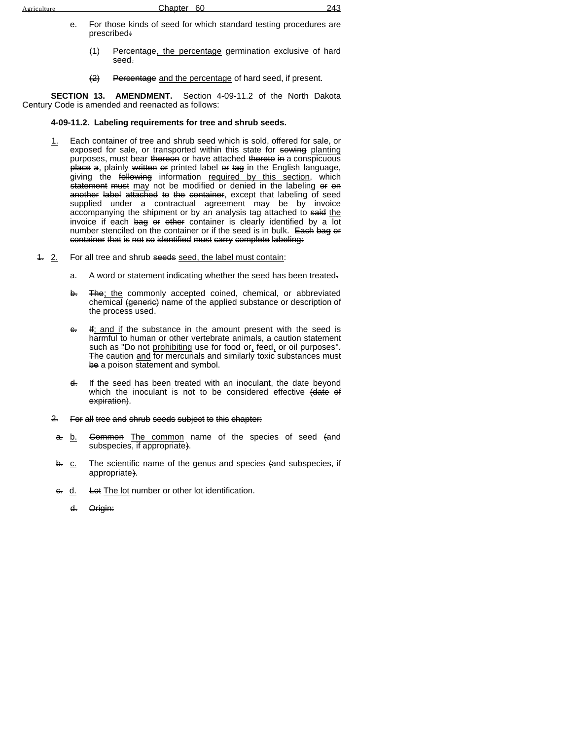- e. For those kinds of seed for which standard testing procedures are prescribed:
	- (1) Percentage, the percentage germination exclusive of hard seed.
	- (2) Percentage and the percentage of hard seed, if present.

**SECTION 13. AMENDMENT.** Section 4-09-11.2 of the North Dakota Century Code is amended and reenacted as follows:

#### **4-09-11.2. Labeling requirements for tree and shrub seeds.**

- 1. Each container of tree and shrub seed which is sold, offered for sale, or exposed for sale, or transported within this state for sowing planting purposes, must bear thereon or have attached thereto in a conspicuous place a, plainly written or printed label or tag in the English language, giving the <del>following</del> information required by this section, which statement must may not be modified or denied in the labeling or on another label attached to the container, except that labeling of seed supplied under a contractual agreement may be by invoice accompanying the shipment or by an analysis tag attached to said the invoice if each bag or other container is clearly identified by a  $\overline{lot}$ number stenciled on the container or if the seed is in bulk. Each bag or container that is not so identified must carry complete labeling:
- 4. 2. For all tree and shrub seeds seed, the label must contain:
	- a. A word or statement indicating whether the seed has been treated.
	- b. The; the commonly accepted coined, chemical, or abbreviated chemical (generic) name of the applied substance or description of the process used.
	- $e$ . If; and if the substance in the amount present with the seed is harmful to human or other vertebrate animals, a caution statement such as "Do not prohibiting use for food  $er_i$  feed, or oil purposes". The caution and for mercurials and similarly toxic substances must be a poison statement and symbol.
	- d. If the seed has been treated with an inoculant, the date beyond which the inoculant is not to be considered effective (date of expiration).
	- 2. For all tree and shrub seeds subject to this chapter:
	- a. b. Common The common name of the species of seed (and subspecies, if appropriate).
	- b. c. The scientific name of the genus and species (and subspecies, if appropriate).
	- e. d. Let The lot number or other lot identification.
		- d. Origin: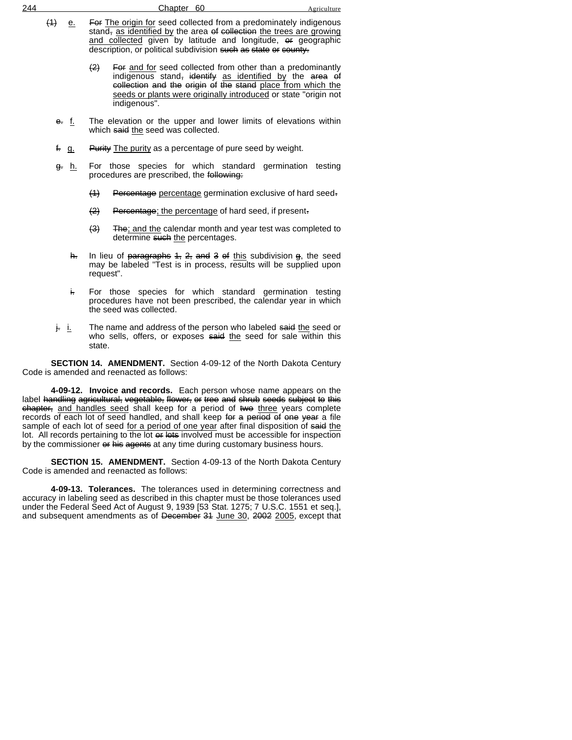| 244 |                     | Chapter <sub>60</sub>                                                                                                                                                                                                                                                                        | Agriculture |
|-----|---------------------|----------------------------------------------------------------------------------------------------------------------------------------------------------------------------------------------------------------------------------------------------------------------------------------------|-------------|
|     | (4)<br>е.           | For The origin for seed collected from a predominately indigenous<br>stand, as identified by the area of collection the trees are growing<br>and collected given by latitude and longitude, or geographic<br>description, or political subdivision such as state or county.                  |             |
|     |                     | $\leftrightarrow$<br>For and for seed collected from other than a predominantly<br>indigenous stand, identify as identified by the area of<br>collection and the origin of the stand place from which the<br>seeds or plants were originally introduced or state "origin not<br>indigenous". |             |
|     | <del>e.</del> f.    | The elevation or the upper and lower limits of elevations within<br>which said the seed was collected.                                                                                                                                                                                       |             |
|     | f. g.               | <b>Purity</b> The purity as a percentage of pure seed by weight.                                                                                                                                                                                                                             |             |
|     | h.<br><del>g.</del> | For those species for which standard germination testing<br>procedures are prescribed, the following:                                                                                                                                                                                        |             |
|     |                     | $\leftrightarrow$<br>Percentage percentage germination exclusive of hard seed.                                                                                                                                                                                                               |             |
|     |                     | $\leftrightarrow$<br>Percentage; the percentage of hard seed, if present-                                                                                                                                                                                                                    |             |
|     |                     | (3)<br>The; and the calendar month and year test was completed to<br>determine such the percentages.                                                                                                                                                                                         |             |
|     | h.                  | In lieu of paragraphs $4, 2,$ and $3$ of this subdivision g, the seed<br>may be labeled "Test is in process, results will be supplied upon<br>request".                                                                                                                                      |             |
|     | ŧ.                  | For those species for which standard germination testing<br>procedures have not been prescribed, the calendar year in which<br>the seed was collected.                                                                                                                                       |             |

 $j_r$  i. The name and address of the person who labeled said the seed or who sells, offers, or exposes  $s$  said the seed for sale within this state.

**SECTION 14. AMENDMENT.** Section 4-09-12 of the North Dakota Century Code is amended and reenacted as follows:

**4-09-12. Invoice and records.** Each person whose name appears on the label handling agricultural, vegetable, flower, or tree and shrub seeds subject to this chapter, and handles seed shall keep for a period of two three years complete records of each lot of seed handled, and shall keep for a period of one year a file sample of each lot of seed for a period of one year after final disposition of said the lot. All records pertaining to the lot or lots involved must be accessible for inspection by the commissioner or his agents at any time during customary business hours.

**SECTION 15. AMENDMENT.** Section 4-09-13 of the North Dakota Century Code is amended and reenacted as follows:

**4-09-13. Tolerances.** The tolerances used in determining correctness and accuracy in labeling seed as described in this chapter must be those tolerances used under the Federal Seed Act of August 9, 1939 [53 Stat. 1275; 7 U.S.C. 1551 et seq.], and subsequent amendments as of <del>December 31</del> June 30, <del>2002</del> 2005, except that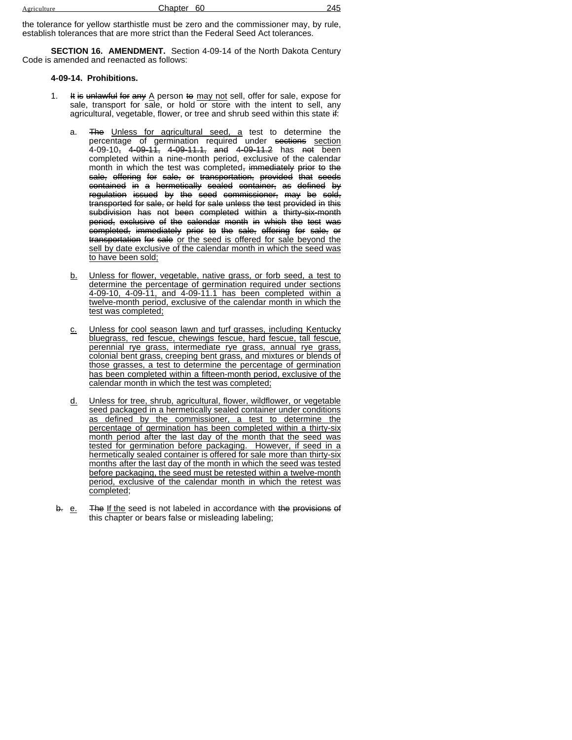| Agriculture | Chapter | 60 | $\overline{\phantom{a}}$<br>・イト |
|-------------|---------|----|---------------------------------|
|             |         |    |                                 |

the tolerance for yellow starthistle must be zero and the commissioner may, by rule, establish tolerances that are more strict than the Federal Seed Act tolerances.

**SECTION 16. AMENDMENT.** Section 4-09-14 of the North Dakota Century Code is amended and reenacted as follows:

## **4-09-14. Prohibitions.**

- It is unlawful for any A person to may not sell, offer for sale, expose for sale, transport for sale, or hold or store with the intent to sell, any agricultural, vegetable, flower, or tree and shrub seed within this state if:
	- a. The Unless for agricultural seed, a test to determine the percentage of germination required under sections section 4-09-10, 4-09-11, 4-09-11.1, and 4-09-11.2 has not been completed within a nine-month period, exclusive of the calendar month in which the test was completed, immediately prior to the sale, offering for sale, or transportation, provided that seeds contained in a hermetically sealed container, as defined by regulation issued by the seed commissioner, may be sold, transported for sale, or held for sale unless the test provided in this subdivision has not been completed within a thirty-six-month period, exclusive of the calendar month in which the test was completed, immediately prior to the sale, offering for sale, or transportation for sale or the seed is offered for sale beyond the sell by date exclusive of the calendar month in which the seed was to have been sold;
	- b. Unless for flower, vegetable, native grass, or forb seed, a test to determine the percentage of germination required under sections 4-09-10, 4-09-11, and 4-09-11.1 has been completed within a twelve-month period, exclusive of the calendar month in which the test was completed;
	- c. Unless for cool season lawn and turf grasses, including Kentucky bluegrass, red fescue, chewings fescue, hard fescue, tall fescue, perennial rye grass, intermediate rye grass, annual rye grass, colonial bent grass, creeping bent grass, and mixtures or blends of those grasses, a test to determine the percentage of germination has been completed within a fifteen-month period, exclusive of the calendar month in which the test was completed;
	- d. Unless for tree, shrub, agricultural, flower, wildflower, or vegetable seed packaged in a hermetically sealed container under conditions as defined by the commissioner, a test to determine the percentage of germination has been completed within a thirty-six month period after the last day of the month that the seed was tested for germination before packaging. However, if seed in a hermetically sealed container is offered for sale more than thirty-six months after the last day of the month in which the seed was tested before packaging, the seed must be retested within a twelve-month period, exclusive of the calendar month in which the retest was completed;
- b. e. The If the seed is not labeled in accordance with the provisions of this chapter or bears false or misleading labeling;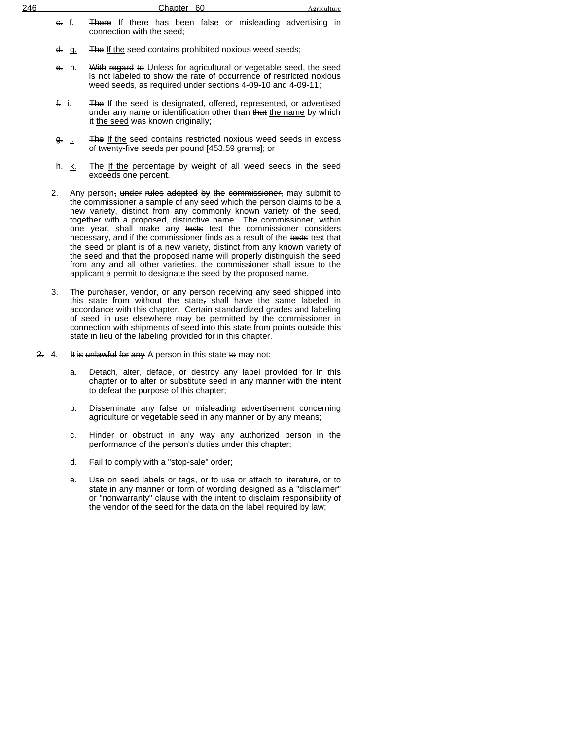| 246 |                  | Chapter 60                                                                                                                                                                                               | Agriculture |  |
|-----|------------------|----------------------------------------------------------------------------------------------------------------------------------------------------------------------------------------------------------|-------------|--|
|     | <del>c.</del> f. | There If there has been false or misleading advertising in<br>connection with the seed;                                                                                                                  |             |  |
|     | <del>d.</del> q. | The If the seed contains prohibited noxious weed seeds;                                                                                                                                                  |             |  |
|     | <del>e.</del> h. | With regard to Unless for agricultural or vegetable seed, the seed<br>is not labeled to show the rate of occurrence of restricted noxious<br>weed seeds, as required under sections 4-09-10 and 4-09-11; |             |  |

- f. i. The If the seed is designated, offered, represented, or advertised under any name or identification other than that the name by which it the seed was known originally;
- g. *j.* The If the seed contains restricted noxious weed seeds in excess of twenty-five seeds per pound [453.59 grams]; or
- h. k. The If the percentage by weight of all weed seeds in the seed exceeds one percent.
- 2. Any person, under rules adopted by the commissioner, may submit to the commissioner a sample of any seed which the person claims to be a new variety, distinct from any commonly known variety of the seed, together with a proposed, distinctive name. The commissioner, within one year, shall make any tests test the commissioner considers necessary, and if the commissioner finds as a result of the tests test that the seed or plant is of a new variety, distinct from any known variety of the seed and that the proposed name will properly distinguish the seed from any and all other varieties, the commissioner shall issue to the applicant a permit to designate the seed by the proposed name.
- 3. The purchaser, vendor, or any person receiving any seed shipped into this state from without the state, shall have the same labeled in accordance with this chapter. Certain standardized grades and labeling of seed in use elsewhere may be permitted by the commissioner in connection with shipments of seed into this state from points outside this state in lieu of the labeling provided for in this chapter.
- 2.  $4.$  It is unlawful for any A person in this state to may not:
	- a. Detach, alter, deface, or destroy any label provided for in this chapter or to alter or substitute seed in any manner with the intent to defeat the purpose of this chapter;
	- b. Disseminate any false or misleading advertisement concerning agriculture or vegetable seed in any manner or by any means;
	- c. Hinder or obstruct in any way any authorized person in the performance of the person's duties under this chapter;
	- d. Fail to comply with a "stop-sale" order;
	- e. Use on seed labels or tags, or to use or attach to literature, or to state in any manner or form of wording designed as a "disclaimer" or "nonwarranty" clause with the intent to disclaim responsibility of the vendor of the seed for the data on the label required by law;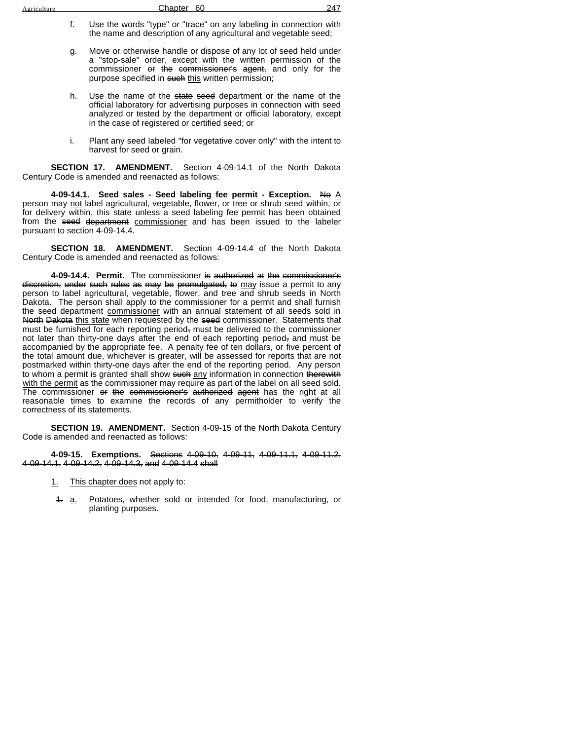- f. Use the words "type" or "trace" on any labeling in connection with the name and description of any agricultural and vegetable seed;
- g. Move or otherwise handle or dispose of any lot of seed held under a "stop-sale" order, except with the written permission of the commissioner or the commissioner's agent, and only for the purpose specified in such this written permission;
- h. Use the name of the state seed department or the name of the official laboratory for advertising purposes in connection with seed analyzed or tested by the department or official laboratory, except in the case of registered or certified seed; or
- i. Plant any seed labeled "for vegetative cover only" with the intent to harvest for seed or grain.

**SECTION 17. AMENDMENT.** Section 4-09-14.1 of the North Dakota Century Code is amended and reenacted as follows:

**4-09-14.1. Seed sales - Seed labeling fee permit - Exception.** No A person may not label agricultural, vegetable, flower, or tree or shrub seed within, or for delivery within, this state unless a seed labeling fee permit has been obtained from the seed department commissioner and has been issued to the labeler pursuant to section 4-09-14.4.

**SECTION 18. AMENDMENT.** Section 4-09-14.4 of the North Dakota Century Code is amended and reenacted as follows:

**4-09-14.4. Permit.** The commissioner is authorized at the commissioner's discretion, under such rules as may be promulgated, to may issue a permit to any person to label agricultural, vegetable, flower, and tree and shrub seeds in North Dakota. The person shall apply to the commissioner for a permit and shall furnish the seed department commissioner with an annual statement of all seeds sold in North Dakota this state when requested by the seed commissioner. Statements that must be furnished for each reporting period, must be delivered to the commissioner not later than thirty-one days after the end of each reporting period, and must be accompanied by the appropriate fee. A penalty fee of ten dollars, or five percent of the total amount due, whichever is greater, will be assessed for reports that are not postmarked within thirty-one days after the end of the reporting period. Any person to whom a permit is granted shall show such any information in connection therewith with the permit as the commissioner may require as part of the label on all seed sold. The commissioner or the commissioner's authorized agent has the right at all reasonable times to examine the records of any permitholder to verify the correctness of its statements.

**SECTION 19. AMENDMENT.** Section 4-09-15 of the North Dakota Century Code is amended and reenacted as follows:

**4-09-15. Exemptions.** Sections 4-09-10, 4-09-11, 4-09-11.1, 4-09-11.2, 4-09-14.1, 4-09-14.2, 4-09-14.3, and 4-09-14.4 shall

- 1. This chapter does not apply to:
- 1. a. Potatoes, whether sold or intended for food, manufacturing, or planting purposes.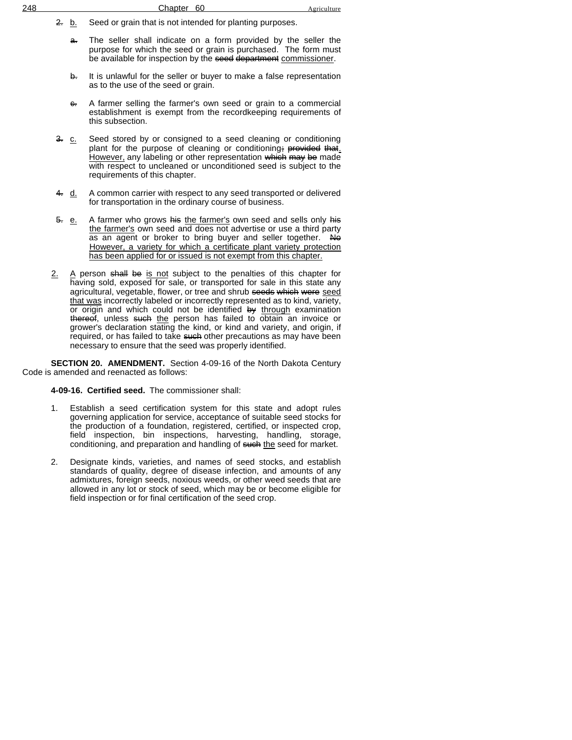- 2. b. Seed or grain that is not intended for planting purposes.
	- a. The seller shall indicate on a form provided by the seller the purpose for which the seed or grain is purchased. The form must be available for inspection by the seed department commissioner.
	- b. It is unlawful for the seller or buyer to make a false representation as to the use of the seed or grain.
	- e. A farmer selling the farmer's own seed or grain to a commercial establishment is exempt from the recordkeeping requirements of this subsection.
- 3. c. Seed stored by or consigned to a seed cleaning or conditioning plant for the purpose of cleaning or conditioning; provided that. However, any labeling or other representation which may be made with respect to uncleaned or unconditioned seed is subject to the requirements of this chapter.
- 4. d. A common carrier with respect to any seed transported or delivered for transportation in the ordinary course of business.
- 5. e. A farmer who grows his the farmer's own seed and sells only his the farmer's own seed and does not advertise or use a third party as an agent or broker to bring buyer and seller together. No However, a variety for which a certificate plant variety protection has been applied for or issued is not exempt from this chapter.
- 2. A person shall be is not subject to the penalties of this chapter for having sold, exposed for sale, or transported for sale in this state any agricultural, vegetable, flower, or tree and shrub seeds which were seed that was incorrectly labeled or incorrectly represented as to kind, variety, or origin and which could not be identified by through examination thereof, unless such the person has failed to obtain an invoice or grower's declaration stating the kind, or kind and variety, and origin, if required, or has failed to take such other precautions as may have been necessary to ensure that the seed was properly identified.

**SECTION 20. AMENDMENT.** Section 4-09-16 of the North Dakota Century Code is amended and reenacted as follows:

**4-09-16. Certified seed.** The commissioner shall:

- 1. Establish a seed certification system for this state and adopt rules governing application for service, acceptance of suitable seed stocks for the production of a foundation, registered, certified, or inspected crop, field inspection, bin inspections, harvesting, handling, storage, conditioning, and preparation and handling of such the seed for market.
- 2. Designate kinds, varieties, and names of seed stocks, and establish standards of quality, degree of disease infection, and amounts of any admixtures, foreign seeds, noxious weeds, or other weed seeds that are allowed in any lot or stock of seed, which may be or become eligible for field inspection or for final certification of the seed crop.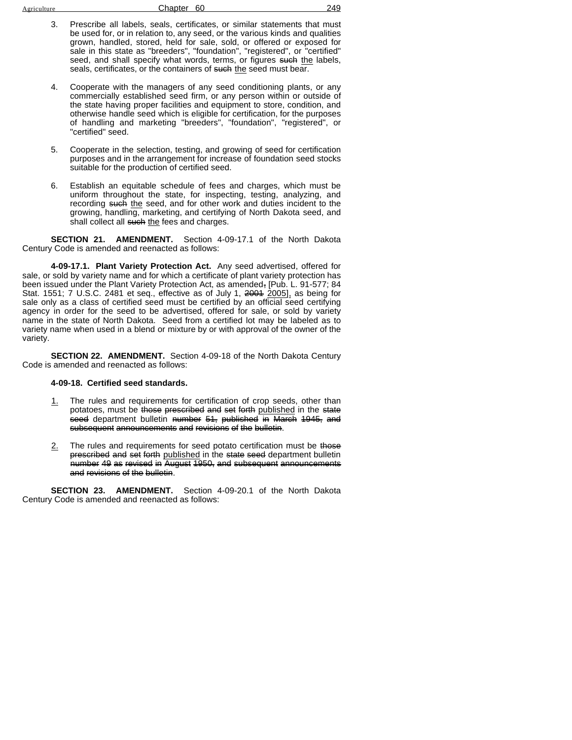| Agriculture |  |
|-------------|--|
|             |  |
|             |  |

Chapter 60 249

- 3. Prescribe all labels, seals, certificates, or similar statements that must be used for, or in relation to, any seed, or the various kinds and qualities grown, handled, stored, held for sale, sold, or offered or exposed for sale in this state as "breeders", "foundation", "registered", or "certified" seed, and shall specify what words, terms, or figures such the labels, seals, certificates, or the containers of such the seed must bear.
- 4. Cooperate with the managers of any seed conditioning plants, or any commercially established seed firm, or any person within or outside of the state having proper facilities and equipment to store, condition, and otherwise handle seed which is eligible for certification, for the purposes of handling and marketing "breeders", "foundation", "registered", or "certified" seed.
- 5. Cooperate in the selection, testing, and growing of seed for certification purposes and in the arrangement for increase of foundation seed stocks suitable for the production of certified seed.
- 6. Establish an equitable schedule of fees and charges, which must be uniform throughout the state, for inspecting, testing, analyzing, and recording such the seed, and for other work and duties incident to the growing, handling, marketing, and certifying of North Dakota seed, and shall collect all such the fees and charges.

**SECTION 21. AMENDMENT.** Section 4-09-17.1 of the North Dakota Century Code is amended and reenacted as follows:

**4-09-17.1. Plant Variety Protection Act.** Any seed advertised, offered for sale, or sold by variety name and for which a certificate of plant variety protection has been issued under the Plant Variety Protection Act, as amended, [Pub. L. 91-577; 84 Stat. 1551; 7 U.S.C. 2481 et seq., effective as of July 1, 2004 2005], as being for sale only as a class of certified seed must be certified by an official seed certifying agency in order for the seed to be advertised, offered for sale, or sold by variety name in the state of North Dakota. Seed from a certified lot may be labeled as to variety name when used in a blend or mixture by or with approval of the owner of the variety.

**SECTION 22. AMENDMENT.** Section 4-09-18 of the North Dakota Century Code is amended and reenacted as follows:

### **4-09-18. Certified seed standards.**

- 1. The rules and requirements for certification of crop seeds, other than potatoes, must be those prescribed and set forth published in the state seed department bulletin number 51, published in March 1945, and subsequent announcements and revisions of the bulletin.
- 2. The rules and requirements for seed potato certification must be those prescribed and set forth published in the state seed department bulletin number 49 as revised in August 1950, and subsequent announcements and revisions of the bulletin.

**SECTION 23. AMENDMENT.** Section 4-09-20.1 of the North Dakota Century Code is amended and reenacted as follows: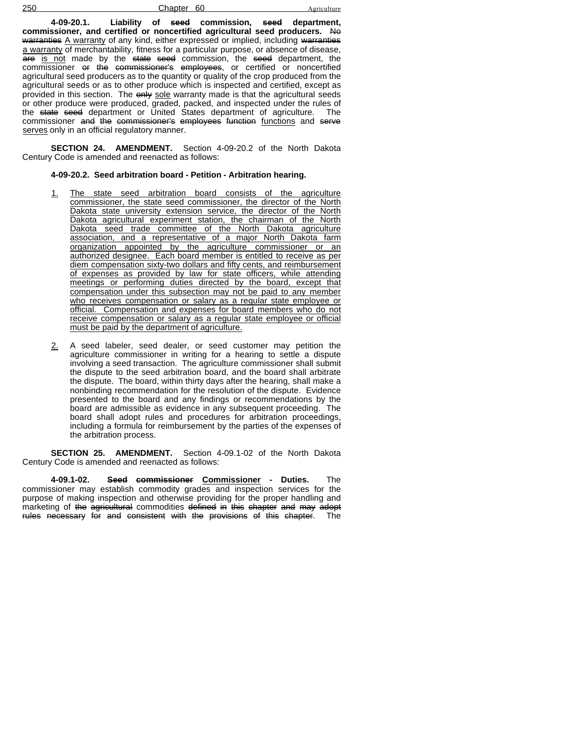250 Chapter 60

**4-09-20.1. Liability of seed commission, seed department, commissioner, and certified or noncertified agricultural seed producers.** No warranties A warranty of any kind, either expressed or implied, including warranties a warranty of merchantability, fitness for a particular purpose, or absence of disease, are is not made by the state seed commission, the seed department, the commissioner or the commissioner's employees, or certified or noncertified agricultural seed producers as to the quantity or quality of the crop produced from the agricultural seeds or as to other produce which is inspected and certified, except as provided in this section. The only sole warranty made is that the agricultural seeds or other produce were produced, graded, packed, and inspected under the rules of the <del>state seed</del> department or United States department of agriculture. The commissioner and the commissioner's employees function functions and serve serves only in an official regulatory manner.

**SECTION 24. AMENDMENT.** Section 4-09-20.2 of the North Dakota Century Code is amended and reenacted as follows:

### **4-09-20.2. Seed arbitration board - Petition - Arbitration hearing.**

- 1. The state seed arbitration board consists of the agriculture commissioner, the state seed commissioner, the director of the North Dakota state university extension service, the director of the North Dakota agricultural experiment station, the chairman of the North Dakota seed trade committee of the North Dakota agriculture association, and a representative of a major North Dakota farm organization appointed by the agriculture commissioner or an authorized designee. Each board member is entitled to receive as per diem compensation sixty-two dollars and fifty cents, and reimbursement of expenses as provided by law for state officers, while attending meetings or performing duties directed by the board, except that compensation under this subsection may not be paid to any member who receives compensation or salary as a regular state employee or official. Compensation and expenses for board members who do not receive compensation or salary as a regular state employee or official must be paid by the department of agriculture.
- 2. A seed labeler, seed dealer, or seed customer may petition the agriculture commissioner in writing for a hearing to settle a dispute involving a seed transaction. The agriculture commissioner shall submit the dispute to the seed arbitration board, and the board shall arbitrate the dispute. The board, within thirty days after the hearing, shall make a nonbinding recommendation for the resolution of the dispute. Evidence presented to the board and any findings or recommendations by the board are admissible as evidence in any subsequent proceeding. The board shall adopt rules and procedures for arbitration proceedings, including a formula for reimbursement by the parties of the expenses of the arbitration process.

**SECTION 25. AMENDMENT.** Section 4-09.1-02 of the North Dakota Century Code is amended and reenacted as follows:

**4-09.1-02. Seed commissioner Commissioner - Duties.** The commissioner may establish commodity grades and inspection services for the purpose of making inspection and otherwise providing for the proper handling and marketing of the agricultural commodities defined in this chapter and may adopt<br>rules necessary for and consistent with the provisions of this chapter. The rules necessary for and consistent with the provisions of this chapter.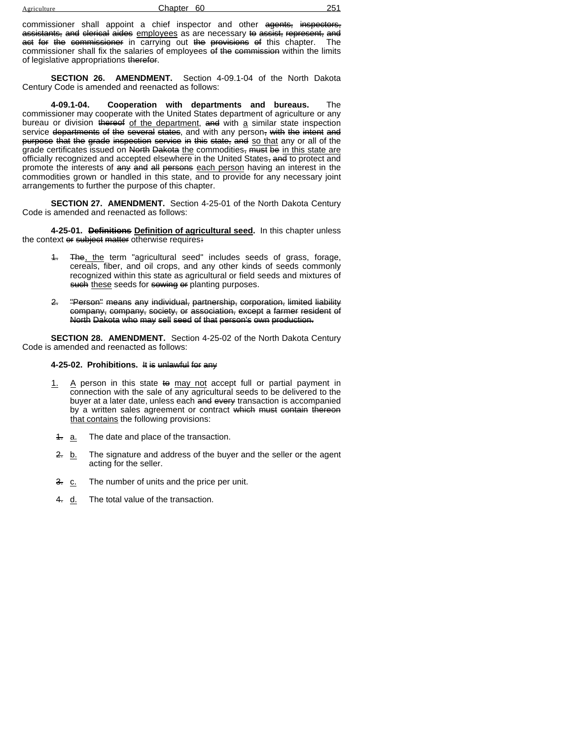| $\rightarrow$ $\alpha$ | Chanter 60 |  |
|------------------------|------------|--|
|                        |            |  |

commissioner shall appoint a chief inspector and other agents, inspectors, assistants, and clerical aides employees as are necessary to assist, represent, and act for the commissioner in carrying out the provisions of this chapter. The commissioner shall fix the salaries of employees of the commission within the limits of legislative appropriations therefor.

**SECTION 26. AMENDMENT.** Section 4-09.1-04 of the North Dakota Century Code is amended and reenacted as follows:

**4-09.1-04. Cooperation with departments and bureaus.** The commissioner may cooperate with the United States department of agriculture or any bureau or division thereof of the department, and with a similar state inspection service departments of the several states, and with any person, with the intent and purpose that the grade inspection service in this state, and so that any or all of the grade certificates issued on North Dakota the commodities, must be in this state are officially recognized and accepted elsewhere in the United States, and to protect and promote the interests of any and all persons each person having an interest in the commodities grown or handled in this state, and to provide for any necessary joint arrangements to further the purpose of this chapter.

**SECTION 27. AMENDMENT.** Section 4-25-01 of the North Dakota Century Code is amended and reenacted as follows:

**4-25-01. Definitions Definition of agricultural seed.** In this chapter unless the context or subject matter otherwise requires:

- 4. The, the term "agricultural seed" includes seeds of grass, forage, cereals, fiber, and oil crops, and any other kinds of seeds commonly recognized within this state as agricultural or field seeds and mixtures of such these seeds for sowing or planting purposes.
- 2. "Person" means any individual, partnership, corporation, limited liability company, company, society, or association, except a farmer resident of North Dakota who may sell seed of that person's own production.

**SECTION 28. AMENDMENT.** Section 4-25-02 of the North Dakota Century Code is amended and reenacted as follows:

### **4-25-02. Prohibitions.** It is unlawful for any

- 1. A person in this state to may not accept full or partial payment in connection with the sale of any agricultural seeds to be delivered to the buyer at a later date, unless each and every transaction is accompanied by a written sales agreement or contract which must contain thereon that contains the following provisions:
- 4. a. The date and place of the transaction.
- 2. b. The signature and address of the buyer and the seller or the agent acting for the seller.
- 3. c. The number of units and the price per unit.
- 4. d. The total value of the transaction.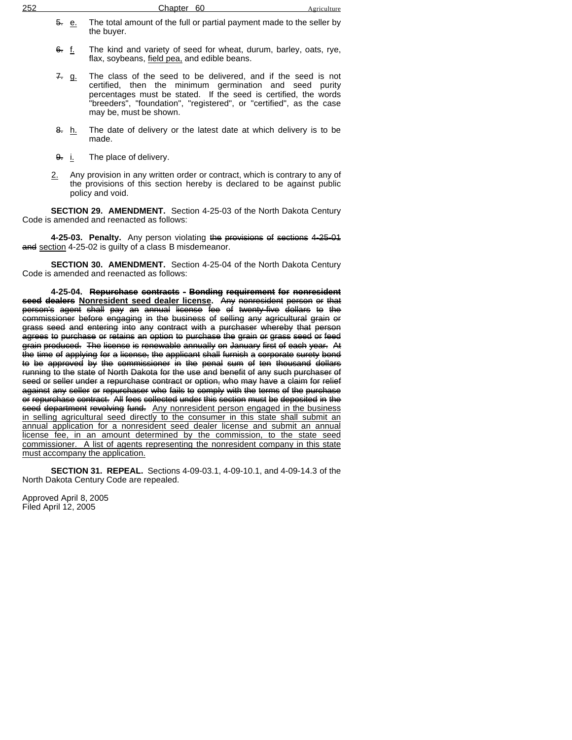| 252 |    |  |  |   | Chapter 60 |  |  |  |  |     |  | lture |  |
|-----|----|--|--|---|------------|--|--|--|--|-----|--|-------|--|
|     | -- |  |  | . | .          |  |  |  |  | . . |  |       |  |

- 5. e. The total amount of the full or partial payment made to the seller by the buyer.
- 6. f. The kind and variety of seed for wheat, durum, barley, oats, rye, flax, soybeans, field pea, and edible beans.
- 7. g. The class of the seed to be delivered, and if the seed is not certified, then the minimum germination and seed purity percentages must be stated. If the seed is certified, the words "breeders", "foundation", "registered", or "certified", as the case may be, must be shown.
- 8. h. The date of delivery or the latest date at which delivery is to be made.
- 9. i. The place of delivery.
- 2. Any provision in any written order or contract, which is contrary to any of the provisions of this section hereby is declared to be against public policy and void.

**SECTION 29. AMENDMENT.** Section 4-25-03 of the North Dakota Century Code is amended and reenacted as follows:

**4-25-03. Penalty.** Any person violating the provisions of sections 4-25-01 and section 4-25-02 is guilty of a class B misdemeanor.

**SECTION 30. AMENDMENT.** Section 4-25-04 of the North Dakota Century Code is amended and reenacted as follows:

**4-25-04. Repurchase contracts - Bonding requirement for nonresident seed dealers Nonresident seed dealer license.** Any nonresident person or that person's agent shall pay an annual license fee of twenty-five dollars to the commissioner before engaging in the business of selling any agricultural grain or grass seed and entering into any contract with a purchaser whereby that person agrees to purchase or retains an option to purchase the grain or grass seed or feed grain produced. The license is renewable annually on January first of each year. At the time of applying for a license, the applicant shall furnish a corporate surety bond to be approved by the commissioner in the penal sum of ten thousand dollars running to the state of North Dakota for the use and benefit of any such purchaser of seed or seller under a repurchase contract or option, who may have a claim for relief against any seller or repurchaser who fails to comply with the terms of the purchase or repurchase contract. All fees collected under this section must be deposited in the seed department revolving fund. Any nonresident person engaged in the business in selling agricultural seed directly to the consumer in this state shall submit an annual application for a nonresident seed dealer license and submit an annual license fee, in an amount determined by the commission, to the state seed commissioner. A list of agents representing the nonresident company in this state must accompany the application.

**SECTION 31. REPEAL.** Sections 4-09-03.1, 4-09-10.1, and 4-09-14.3 of the North Dakota Century Code are repealed.

Approved April 8, 2005 Filed April 12, 2005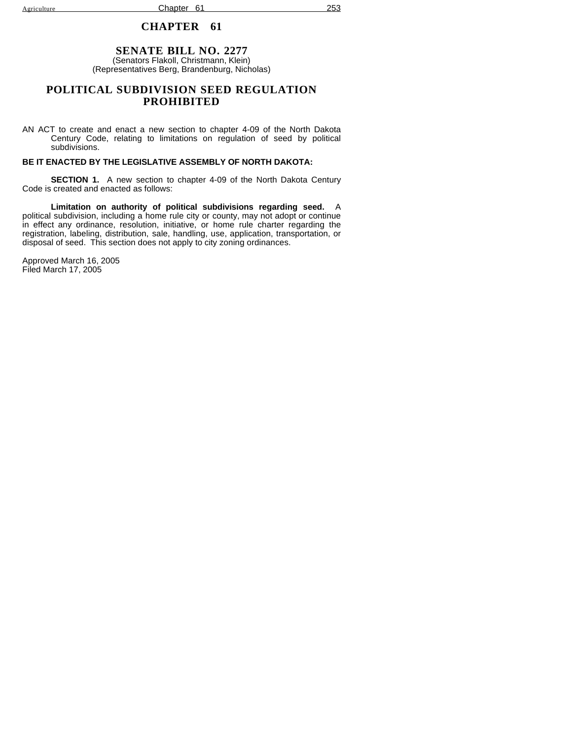Agriculture **Chapter 61** 253

### **CHAPTER 61**

### **SENATE BILL NO. 2277** (Senators Flakoll, Christmann, Klein) (Representatives Berg, Brandenburg, Nicholas)

## **POLITICAL SUBDIVISION SEED REGULATION PROHIBITED**

AN ACT to create and enact a new section to chapter 4-09 of the North Dakota Century Code, relating to limitations on regulation of seed by political subdivisions.

### **BE IT ENACTED BY THE LEGISLATIVE ASSEMBLY OF NORTH DAKOTA:**

**SECTION 1.** A new section to chapter 4-09 of the North Dakota Century Code is created and enacted as follows:

**Limitation on authority of political subdivisions regarding seed.** A political subdivision, including a home rule city or county, may not adopt or continue in effect any ordinance, resolution, initiative, or home rule charter regarding the registration, labeling, distribution, sale, handling, use, application, transportation, or disposal of seed. This section does not apply to city zoning ordinances.

Approved March 16, 2005 Filed March 17, 2005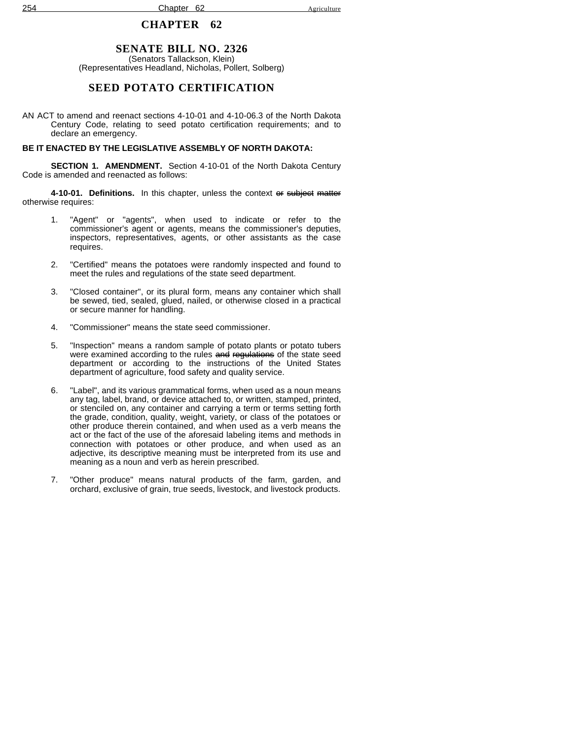# **SENATE BILL NO. 2326**

(Senators Tallackson, Klein) (Representatives Headland, Nicholas, Pollert, Solberg)

## **SEED POTATO CERTIFICATION**

AN ACT to amend and reenact sections 4-10-01 and 4-10-06.3 of the North Dakota Century Code, relating to seed potato certification requirements; and to declare an emergency.

#### **BE IT ENACTED BY THE LEGISLATIVE ASSEMBLY OF NORTH DAKOTA:**

**SECTION 1. AMENDMENT.** Section 4-10-01 of the North Dakota Century Code is amended and reenacted as follows:

**4-10-01. Definitions.** In this chapter, unless the context or subject matter otherwise requires:

- 1. "Agent" or "agents", when used to indicate or refer to the commissioner's agent or agents, means the commissioner's deputies, inspectors, representatives, agents, or other assistants as the case requires.
- 2. "Certified" means the potatoes were randomly inspected and found to meet the rules and regulations of the state seed department.
- 3. "Closed container", or its plural form, means any container which shall be sewed, tied, sealed, glued, nailed, or otherwise closed in a practical or secure manner for handling.
- 4. "Commissioner" means the state seed commissioner.
- 5. "Inspection" means a random sample of potato plants or potato tubers were examined according to the rules and regulations of the state seed department or according to the instructions of the United States department of agriculture, food safety and quality service.
- 6. "Label", and its various grammatical forms, when used as a noun means any tag, label, brand, or device attached to, or written, stamped, printed, or stenciled on, any container and carrying a term or terms setting forth the grade, condition, quality, weight, variety, or class of the potatoes or other produce therein contained, and when used as a verb means the act or the fact of the use of the aforesaid labeling items and methods in connection with potatoes or other produce, and when used as an adjective, its descriptive meaning must be interpreted from its use and meaning as a noun and verb as herein prescribed.
- 7. "Other produce" means natural products of the farm, garden, and orchard, exclusive of grain, true seeds, livestock, and livestock products.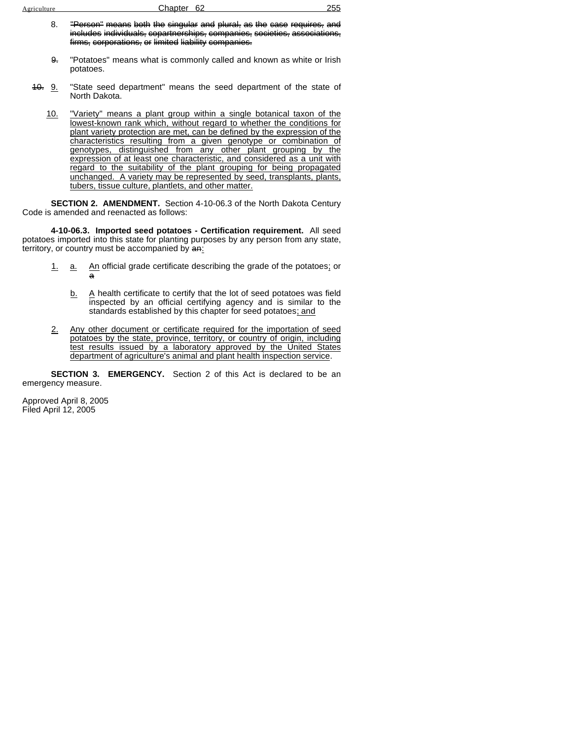| Agriculture |  |
|-------------|--|
|             |  |

- 8. "Person" means both the singular and plural, as the case requires, and includes individuals, copartnerships, companies, societies, associations, firms, corporations, or limited liability companies.
- 9. "Potatoes" means what is commonly called and known as white or Irish potatoes.
- 40. 9. "State seed department" means the seed department of the state of North Dakota.
	- 10. "Variety" means a plant group within a single botanical taxon of the lowest-known rank which, without regard to whether the conditions for plant variety protection are met, can be defined by the expression of the characteristics resulting from a given genotype or combination of genotypes, distinguished from any other plant grouping by the expression of at least one characteristic, and considered as a unit with regard to the suitability of the plant grouping for being propagated unchanged. A variety may be represented by seed, transplants, plants, tubers, tissue culture, plantlets, and other matter.

**SECTION 2. AMENDMENT.** Section 4-10-06.3 of the North Dakota Century Code is amended and reenacted as follows:

**4-10-06.3. Imported seed potatoes - Certification requirement.** All seed potatoes imported into this state for planting purposes by any person from any state, territory, or country must be accompanied by an:

- 1. a. An official grade certificate describing the grade of the potatoes; or a
	- b. A health certificate to certify that the lot of seed potatoes was field inspected by an official certifying agency and is similar to the standards established by this chapter for seed potatoes; and
- 2. Any other document or certificate required for the importation of seed potatoes by the state, province, territory, or country of origin, including test results issued by a laboratory approved by the United States department of agriculture's animal and plant health inspection service.

**SECTION 3. EMERGENCY.** Section 2 of this Act is declared to be an emergency measure.

Approved April 8, 2005 Filed April 12, 2005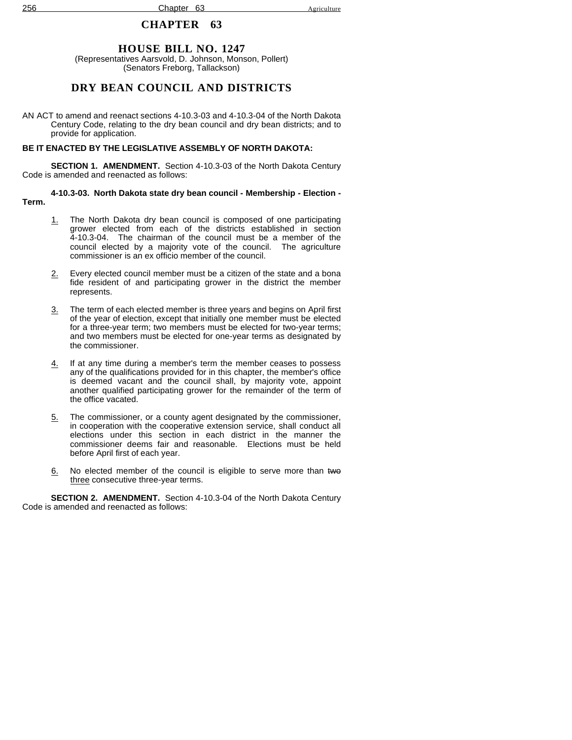### **HOUSE BILL NO. 1247**

(Representatives Aarsvold, D. Johnson, Monson, Pollert) (Senators Freborg, Tallackson)

## **DRY BEAN COUNCIL AND DISTRICTS**

AN ACT to amend and reenact sections 4-10.3-03 and 4-10.3-04 of the North Dakota Century Code, relating to the dry bean council and dry bean districts; and to provide for application.

#### **BE IT ENACTED BY THE LEGISLATIVE ASSEMBLY OF NORTH DAKOTA:**

**SECTION 1. AMENDMENT.** Section 4-10.3-03 of the North Dakota Century Code is amended and reenacted as follows:

#### **4-10.3-03. North Dakota state dry bean council - Membership - Election - Term.**

- 1. The North Dakota dry bean council is composed of one participating grower elected from each of the districts established in section 4-10.3-04. The chairman of the council must be a member of the council elected by a majority vote of the council. The agriculture commissioner is an ex officio member of the council.
- 2. Every elected council member must be a citizen of the state and a bona fide resident of and participating grower in the district the member represents.
- 3. The term of each elected member is three years and begins on April first of the year of election, except that initially one member must be elected for a three-year term; two members must be elected for two-year terms; and two members must be elected for one-year terms as designated by the commissioner.
- 4. If at any time during a member's term the member ceases to possess any of the qualifications provided for in this chapter, the member's office is deemed vacant and the council shall, by majority vote, appoint another qualified participating grower for the remainder of the term of the office vacated.
- 5. The commissioner, or a county agent designated by the commissioner, in cooperation with the cooperative extension service, shall conduct all elections under this section in each district in the manner the commissioner deems fair and reasonable. Elections must be held before April first of each year.
- 6. No elected member of the council is eligible to serve more than two three consecutive three-year terms.

**SECTION 2. AMENDMENT.** Section 4-10.3-04 of the North Dakota Century Code is amended and reenacted as follows: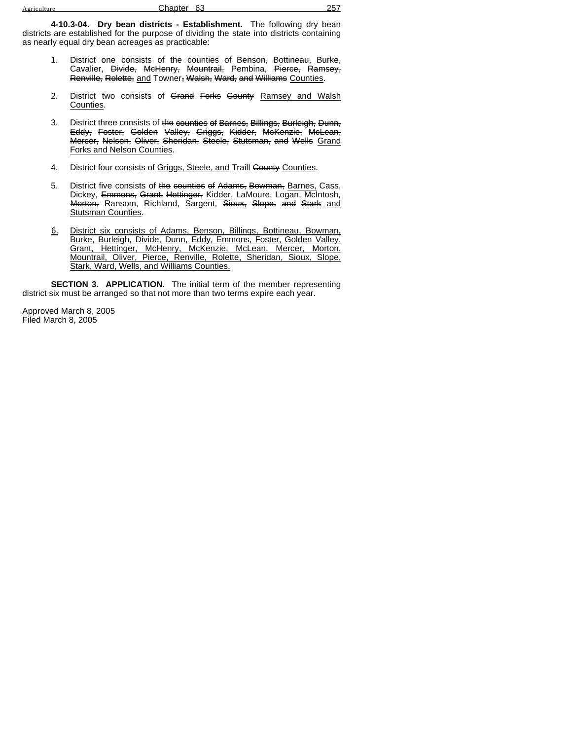**4-10.3-04. Dry bean districts - Establishment.** The following dry bean districts are established for the purpose of dividing the state into districts containing as nearly equal dry bean acreages as practicable:

- 1. District one consists of the counties of Benson, Bottineau, Burke, Cavalier, <del>Divide, McHenry, Mountrail,</del> Pembina, <del>Pierce, Ramsey,</del> Renville, Rolette, and Towner, Walsh, Ward, and Williams Counties.
- 2. District two consists of Grand Forks County Ramsey and Walsh Counties.
- 3. District three consists of the counties of Barnes, Billings, Burleigh, Dunn, Eddy, Foster, Golden Valley, Griggs, Kidder, McKenzie, McLean, **Mercer, Nelson, Oliver, Sheridan, Steele, Stutsman, and Wells Grand** Forks and Nelson Counties.
- 4. District four consists of Griggs, Steele, and Traill County Counties.
- 5. District five consists of the counties of Adams, Bowman, Barnes, Cass, Dickey, Emmons, Grant, Hettinger, Kidder, LaMoure, Logan, McIntosh, Morton, Ransom, Richland, Sargent, Sioux, Slope, and Stark and Stutsman Counties.
- 6. District six consists of Adams, Benson, Billings, Bottineau, Bowman, Burke, Burleigh, Divide, Dunn, Eddy, Emmons, Foster, Golden Valley, Grant, Hettinger, McHenry, McKenzie, McLean, Mercer, Morton, Mountrail, Oliver, Pierce, Renville, Rolette, Sheridan, Sioux, Slope, Stark, Ward, Wells, and Williams Counties.

**SECTION 3. APPLICATION.** The initial term of the member representing district six must be arranged so that not more than two terms expire each year.

Approved March 8, 2005 Filed March 8, 2005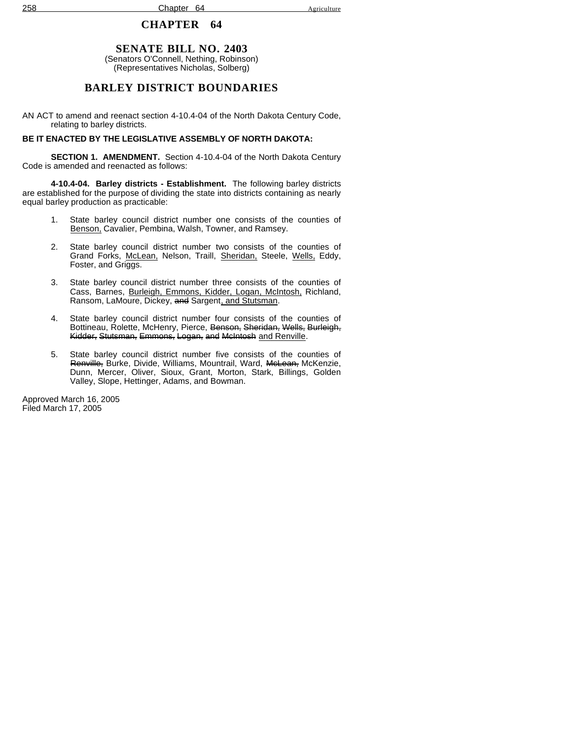# **SENATE BILL NO. 2403**

(Senators O'Connell, Nething, Robinson) (Representatives Nicholas, Solberg)

# **BARLEY DISTRICT BOUNDARIES**

AN ACT to amend and reenact section 4-10.4-04 of the North Dakota Century Code, relating to barley districts.

## **BE IT ENACTED BY THE LEGISLATIVE ASSEMBLY OF NORTH DAKOTA:**

**SECTION 1. AMENDMENT.** Section 4-10.4-04 of the North Dakota Century Code is amended and reenacted as follows:

**4-10.4-04. Barley districts - Establishment.** The following barley districts are established for the purpose of dividing the state into districts containing as nearly equal barley production as practicable:

- 1. State barley council district number one consists of the counties of Benson, Cavalier, Pembina, Walsh, Towner, and Ramsey.
- 2. State barley council district number two consists of the counties of Grand Forks, McLean, Nelson, Traill, Sheridan, Steele, Wells, Eddy, Foster, and Griggs.
- 3. State barley council district number three consists of the counties of Cass, Barnes, Burleigh, Emmons, Kidder, Logan, McIntosh, Richland, Ransom, LaMoure, Dickey, and Sargent, and Stutsman.
- 4. State barley council district number four consists of the counties of Bottineau, Rolette, McHenry, Pierce, Benson, Sheridan, Wells, Burleigh, Kidder, Stutsman, Emmons, Logan, and McIntosh and Renville.
- 5. State barley council district number five consists of the counties of Renville, Burke, Divide, Williams, Mountrail, Ward, McLean, McKenzie, Dunn, Mercer, Oliver, Sioux, Grant, Morton, Stark, Billings, Golden Valley, Slope, Hettinger, Adams, and Bowman.

Approved March 16, 2005 Filed March 17, 2005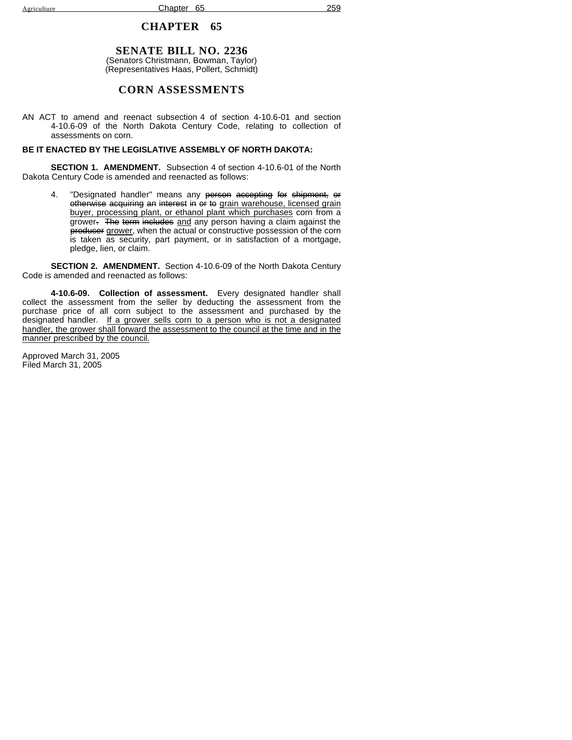# **SENATE BILL NO. 2236**

(Senators Christmann, Bowman, Taylor) (Representatives Haas, Pollert, Schmidt)

## **CORN ASSESSMENTS**

AN ACT to amend and reenact subsection 4 of section 4-10.6-01 and section 4-10.6-09 of the North Dakota Century Code, relating to collection of assessments on corn.

#### **BE IT ENACTED BY THE LEGISLATIVE ASSEMBLY OF NORTH DAKOTA:**

**SECTION 1. AMENDMENT.** Subsection 4 of section 4-10.6-01 of the North Dakota Century Code is amended and reenacted as follows:

4. "Designated handler" means any person accepting for shipment, or otherwise acquiring an interest in or to grain warehouse, licensed grain buyer, processing plant, or ethanol plant which purchases corn from a grower. The term includes and any person having a claim against the producer grower, when the actual or constructive possession of the corn is taken as security, part payment, or in satisfaction of a mortgage, pledge, lien, or claim.

**SECTION 2. AMENDMENT.** Section 4-10.6-09 of the North Dakota Century Code is amended and reenacted as follows:

**4-10.6-09. Collection of assessment.** Every designated handler shall collect the assessment from the seller by deducting the assessment from the purchase price of all corn subject to the assessment and purchased by the designated handler. If a grower sells corn to a person who is not a designated handler, the grower shall forward the assessment to the council at the time and in the manner prescribed by the council.

Approved March 31, 2005 Filed March 31, 2005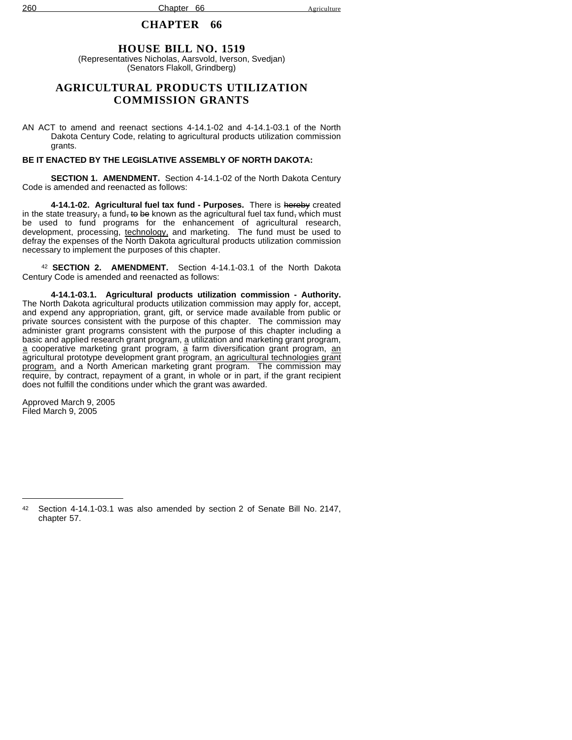# **HOUSE BILL NO. 1519**

(Representatives Nicholas, Aarsvold, Iverson, Svedjan) (Senators Flakoll, Grindberg)

# **AGRICULTURAL PRODUCTS UTILIZATION COMMISSION GRANTS**

AN ACT to amend and reenact sections 4-14.1-02 and 4-14.1-03.1 of the North Dakota Century Code, relating to agricultural products utilization commission grants.

### **BE IT ENACTED BY THE LEGISLATIVE ASSEMBLY OF NORTH DAKOTA:**

**SECTION 1. AMENDMENT.** Section 4-14.1-02 of the North Dakota Century Code is amended and reenacted as follows:

**4-14.1-02. Agricultural fuel tax fund - Purposes.** There is hereby created in the state treasury, a fund, to be known as the agricultural fuel tax fund, which must be used to fund programs for the enhancement of agricultural research, development, processing, technology, and marketing. The fund must be used to defray the expenses of the North Dakota agricultural products utilization commission necessary to implement the purposes of this chapter.

<sup>42</sup> **SECTION 2. AMENDMENT.** Section 4-14.1-03.1 of the North Dakota Century Code is amended and reenacted as follows:

**4-14.1-03.1. Agricultural products utilization commission - Authority.** The North Dakota agricultural products utilization commission may apply for, accept, and expend any appropriation, grant, gift, or service made available from public or private sources consistent with the purpose of this chapter. The commission may administer grant programs consistent with the purpose of this chapter including a basic and applied research grant program, a utilization and marketing grant program,  $\overline{a}$  cooperative marketing grant program,  $\overline{a}$  farm diversification grant program, an agricultural prototype development grant program, an agricultural technologies grant program, and a North American marketing grant program. The commission may require, by contract, repayment of a grant, in whole or in part, if the grant recipient does not fulfill the conditions under which the grant was awarded.

Approved March 9, 2005 Filed March 9, 2005

<sup>42</sup> Section 4-14.1-03.1 was also amended by section 2 of Senate Bill No. 2147, chapter 57.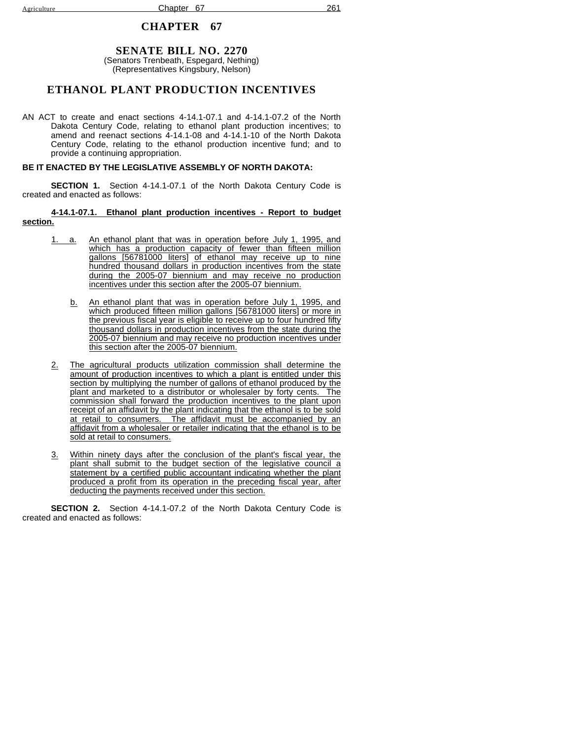# **SENATE BILL NO. 2270**

(Senators Trenbeath, Espegard, Nething) (Representatives Kingsbury, Nelson)

# **ETHANOL PLANT PRODUCTION INCENTIVES**

AN ACT to create and enact sections 4-14.1-07.1 and 4-14.1-07.2 of the North Dakota Century Code, relating to ethanol plant production incentives; to amend and reenact sections 4-14.1-08 and 4-14.1-10 of the North Dakota Century Code, relating to the ethanol production incentive fund; and to provide a continuing appropriation.

#### **BE IT ENACTED BY THE LEGISLATIVE ASSEMBLY OF NORTH DAKOTA:**

**SECTION 1.** Section 4-14.1-07.1 of the North Dakota Century Code is created and enacted as follows:

#### **4-14.1-07.1. Ethanol plant production incentives - Report to budget section.**

- 1. a. An ethanol plant that was in operation before July 1, 1995, and which has a production capacity of fewer than fifteen million gallons [56781000 liters] of ethanol may receive up to nine hundred thousand dollars in production incentives from the state during the 2005-07 biennium and may receive no production incentives under this section after the 2005-07 biennium.
	- b. An ethanol plant that was in operation before July 1, 1995, and which produced fifteen million gallons [56781000 liters] or more in the previous fiscal year is eligible to receive up to four hundred fifty thousand dollars in production incentives from the state during the 2005-07 biennium and may receive no production incentives under this section after the 2005-07 biennium.
- 2. The agricultural products utilization commission shall determine the amount of production incentives to which a plant is entitled under this section by multiplying the number of gallons of ethanol produced by the plant and marketed to a distributor or wholesaler by forty cents. The commission shall forward the production incentives to the plant upon receipt of an affidavit by the plant indicating that the ethanol is to be sold at retail to consumers. The affidavit must be accompanied by an affidavit from a wholesaler or retailer indicating that the ethanol is to be sold at retail to consumers.
- 3. Within ninety days after the conclusion of the plant's fiscal year, the plant shall submit to the budget section of the legislative council a statement by a certified public accountant indicating whether the plant produced a profit from its operation in the preceding fiscal year, after deducting the payments received under this section.

**SECTION 2.** Section 4-14.1-07.2 of the North Dakota Century Code is created and enacted as follows: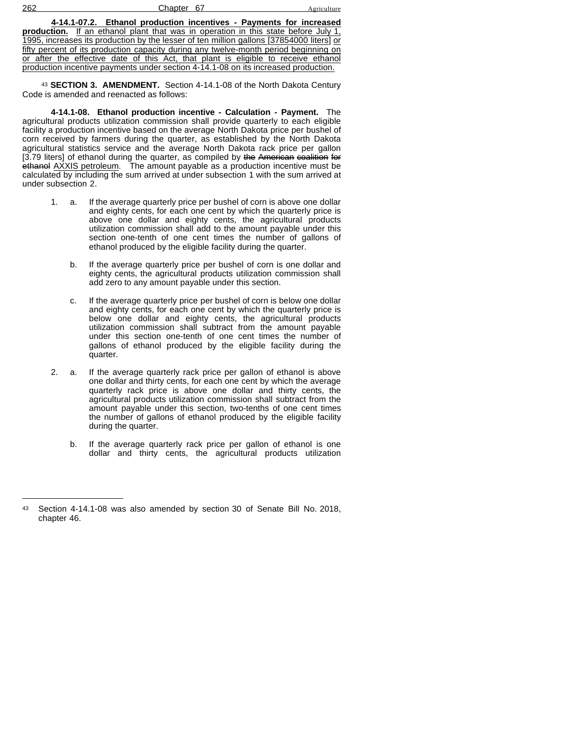| 262 | $\mathsf{C}^-$<br>Chapter<br>$\Omega$ | Agriculture |
|-----|---------------------------------------|-------------|
|     |                                       |             |

**4-14.1-07.2. Ethanol production incentives - Payments for increased production.** If an ethanol plant that was in operation in this state before July 1, 1995, increases its production by the lesser of ten million gallons [37854000 liters] or fifty percent of its production capacity during any twelve-month period beginning on or after the effective date of this Act, that plant is eligible to receive ethanol production incentive payments under section 4-14.1-08 on its increased production.

<sup>43</sup> **SECTION 3. AMENDMENT.** Section 4-14.1-08 of the North Dakota Century Code is amended and reenacted as follows:

**4-14.1-08. Ethanol production incentive - Calculation - Payment.** The agricultural products utilization commission shall provide quarterly to each eligible facility a production incentive based on the average North Dakota price per bushel of corn received by farmers during the quarter, as established by the North Dakota agricultural statistics service and the average North Dakota rack price per gallon [3.79 liters] of ethanol during the quarter, as compiled by the American coalition for ethanol AXXIS petroleum. The amount payable as a production incentive must be calculated by including the sum arrived at under subsection 1 with the sum arrived at under subsection 2.

- 1. a. If the average quarterly price per bushel of corn is above one dollar and eighty cents, for each one cent by which the quarterly price is above one dollar and eighty cents, the agricultural products utilization commission shall add to the amount payable under this section one-tenth of one cent times the number of gallons of ethanol produced by the eligible facility during the quarter.
	- b. If the average quarterly price per bushel of corn is one dollar and eighty cents, the agricultural products utilization commission shall add zero to any amount payable under this section.
	- c. If the average quarterly price per bushel of corn is below one dollar and eighty cents, for each one cent by which the quarterly price is below one dollar and eighty cents, the agricultural products utilization commission shall subtract from the amount payable under this section one-tenth of one cent times the number of gallons of ethanol produced by the eligible facility during the quarter.
- 2. a. If the average quarterly rack price per gallon of ethanol is above one dollar and thirty cents, for each one cent by which the average quarterly rack price is above one dollar and thirty cents, the agricultural products utilization commission shall subtract from the amount payable under this section, two-tenths of one cent times the number of gallons of ethanol produced by the eligible facility during the quarter.
	- b. If the average quarterly rack price per gallon of ethanol is one dollar and thirty cents, the agricultural products utilization

<sup>43</sup> Section 4-14.1-08 was also amended by section 30 of Senate Bill No. 2018, chapter 46.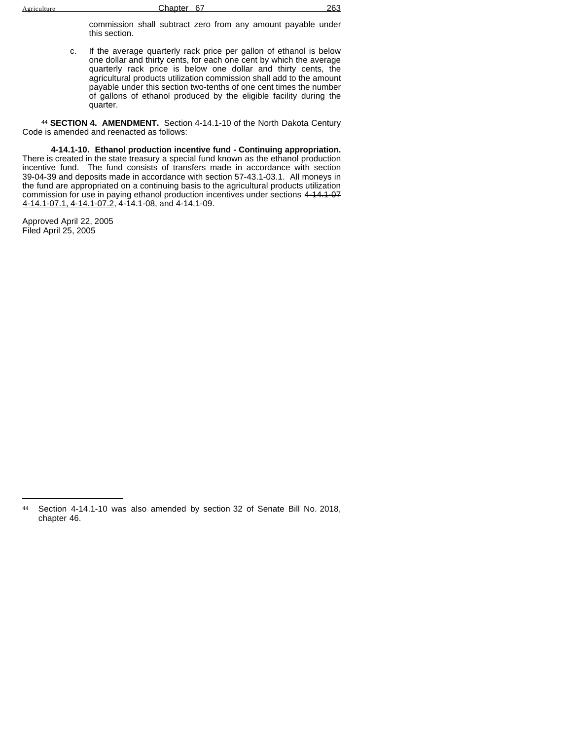commission shall subtract zero from any amount payable under this section.

c. If the average quarterly rack price per gallon of ethanol is below one dollar and thirty cents, for each one cent by which the average quarterly rack price is below one dollar and thirty cents, the agricultural products utilization commission shall add to the amount payable under this section two-tenths of one cent times the number of gallons of ethanol produced by the eligible facility during the quarter.

<sup>44</sup> **SECTION 4. AMENDMENT.** Section 4-14.1-10 of the North Dakota Century Code is amended and reenacted as follows:

**4-14.1-10. Ethanol production incentive fund - Continuing appropriation.** There is created in the state treasury a special fund known as the ethanol production incentive fund. The fund consists of transfers made in accordance with section 39-04-39 and deposits made in accordance with section 57-43.1-03.1. All moneys in the fund are appropriated on a continuing basis to the agricultural products utilization commission for use in paying ethanol production incentives under sections 4-14.1-07 4-14.1-07.1, 4-14.1-07.2, 4-14.1-08, and 4-14.1-09.

Approved April 22, 2005 Filed April 25, 2005

<sup>44</sup> Section 4-14.1-10 was also amended by section 32 of Senate Bill No. 2018, chapter 46.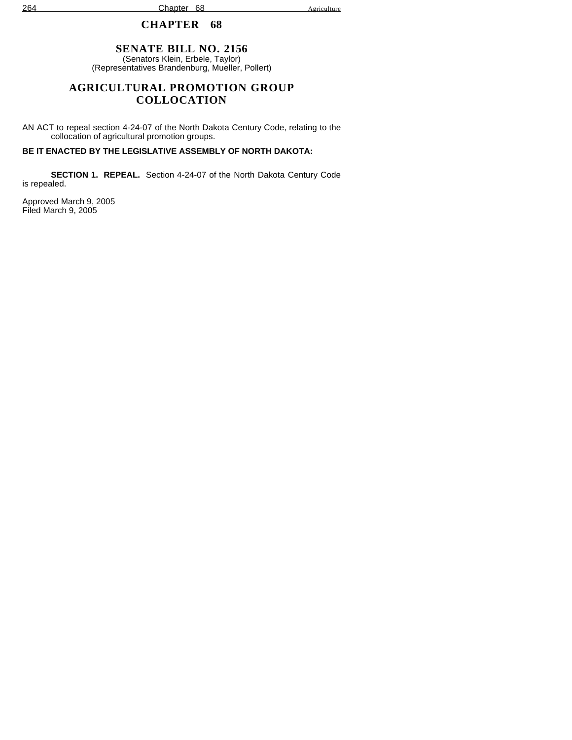264 Chapter 68 Agriculture

# **CHAPTER 68**

# **SENATE BILL NO. 2156**

(Senators Klein, Erbele, Taylor) (Representatives Brandenburg, Mueller, Pollert)

# **AGRICULTURAL PROMOTION GROUP COLLOCATION**

AN ACT to repeal section 4-24-07 of the North Dakota Century Code, relating to the collocation of agricultural promotion groups.

# **BE IT ENACTED BY THE LEGISLATIVE ASSEMBLY OF NORTH DAKOTA:**

**SECTION 1. REPEAL.** Section 4-24-07 of the North Dakota Century Code is repealed.

Approved March 9, 2005 Filed March 9, 2005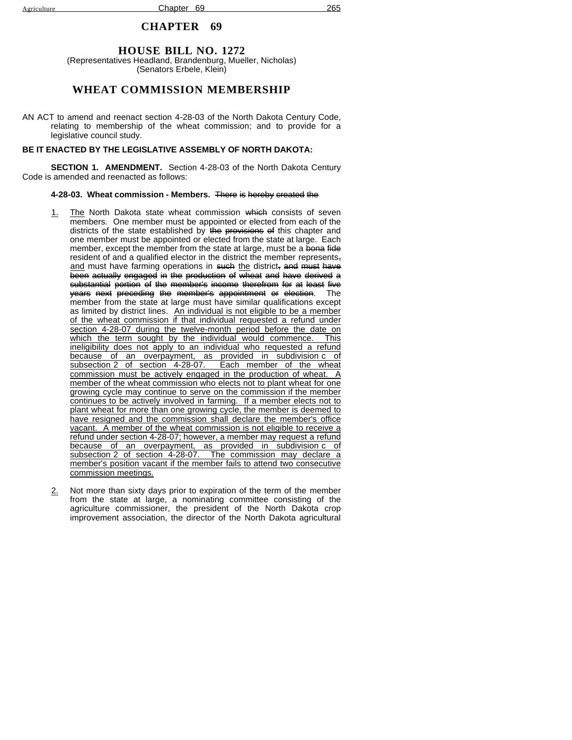### **HOUSE BILL NO. 1272**

(Representatives Headland, Brandenburg, Mueller, Nicholas) (Senators Erbele, Klein)

### **WHEAT COMMISSION MEMBERSHIP**

AN ACT to amend and reenact section 4-28-03 of the North Dakota Century Code, relating to membership of the wheat commission; and to provide for a legislative council study.

#### **BE IT ENACTED BY THE LEGISLATIVE ASSEMBLY OF NORTH DAKOTA:**

**SECTION 1. AMENDMENT.** Section 4-28-03 of the North Dakota Century Code is amended and reenacted as follows:

#### **4-28-03. Wheat commission - Members.** There is hereby created the

- 1. The North Dakota state wheat commission which consists of seven members. One member must be appointed or elected from each of the districts of the state established by the provisions of this chapter and one member must be appointed or elected from the state at large. Each member, except the member from the state at large, must be a bona fide resident of and a qualified elector in the district the member represents, and must have farming operations in such the district, and must have been actually engaged in the production of wheat and have derived a substantial portion of the member's income therefrom for at least five years next preceding the member's appointment or election. The member from the state at large must have similar qualifications except as limited by district lines. An individual is not eligible to be a member of the wheat commission if that individual requested a refund under section 4-28-07 during the twelve-month period before the date on which the term sought by the individual would commence. This which the term sought by the individual would commence. ineligibility does not apply to an individual who requested a refund because of an overpayment, as provided in subdivision c of subsection 2 of section 4-28-07. Each member of the wheat commission must be actively engaged in the production of wheat. A member of the wheat commission who elects not to plant wheat for one growing cycle may continue to serve on the commission if the member continues to be actively involved in farming. If a member elects not to plant wheat for more than one growing cycle, the member is deemed to have resigned and the commission shall declare the member's office vacant. A member of the wheat commission is not eligible to receive a refund under section 4-28-07; however, a member may request a refund because of an overpayment, as provided in subdivision c of subsection 2 of section 4-28-07. The commission may declare a member's position vacant if the member fails to attend two consecutive commission meetings.
- 2. Not more than sixty days prior to expiration of the term of the member from the state at large, a nominating committee consisting of the agriculture commissioner, the president of the North Dakota crop improvement association, the director of the North Dakota agricultural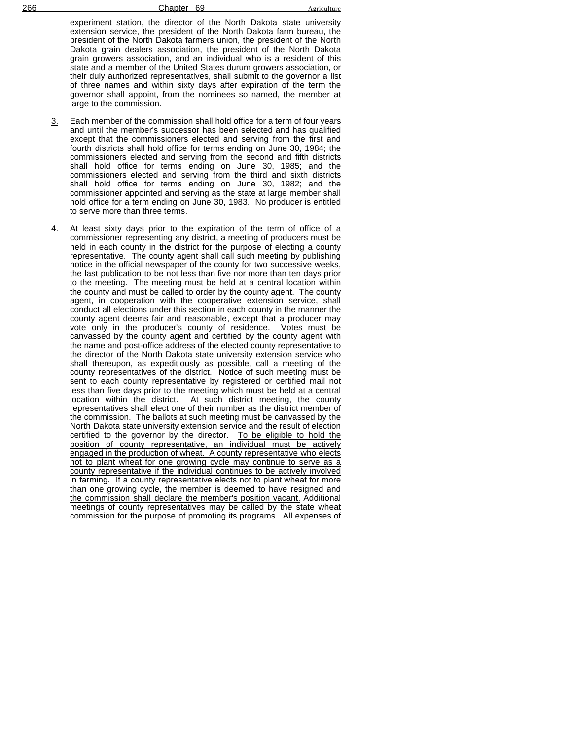experiment station, the director of the North Dakota state university extension service, the president of the North Dakota farm bureau, the president of the North Dakota farmers union, the president of the North Dakota grain dealers association, the president of the North Dakota grain growers association, and an individual who is a resident of this state and a member of the United States durum growers association, or their duly authorized representatives, shall submit to the governor a list of three names and within sixty days after expiration of the term the governor shall appoint, from the nominees so named, the member at large to the commission.

- 3. Each member of the commission shall hold office for a term of four years and until the member's successor has been selected and has qualified except that the commissioners elected and serving from the first and fourth districts shall hold office for terms ending on June 30, 1984; the commissioners elected and serving from the second and fifth districts shall hold office for terms ending on June 30, 1985; and the commissioners elected and serving from the third and sixth districts shall hold office for terms ending on June 30, 1982; and the commissioner appointed and serving as the state at large member shall hold office for a term ending on June 30, 1983. No producer is entitled to serve more than three terms.
- 4. At least sixty days prior to the expiration of the term of office of a commissioner representing any district, a meeting of producers must be held in each county in the district for the purpose of electing a county representative. The county agent shall call such meeting by publishing notice in the official newspaper of the county for two successive weeks, the last publication to be not less than five nor more than ten days prior to the meeting. The meeting must be held at a central location within the county and must be called to order by the county agent. The county agent, in cooperation with the cooperative extension service, shall conduct all elections under this section in each county in the manner the county agent deems fair and reasonable, except that a producer may vote only in the producer's county of residence. Votes must be vote only in the producer's county of residence. canvassed by the county agent and certified by the county agent with the name and post-office address of the elected county representative to the director of the North Dakota state university extension service who shall thereupon, as expeditiously as possible, call a meeting of the county representatives of the district. Notice of such meeting must be sent to each county representative by registered or certified mail not less than five days prior to the meeting which must be held at a central location within the district. At such district meeting, the county representatives shall elect one of their number as the district member of the commission. The ballots at such meeting must be canvassed by the North Dakota state university extension service and the result of election certified to the governor by the director. To be eligible to hold the position of county representative, an individual must be actively engaged in the production of wheat. A county representative who elects not to plant wheat for one growing cycle may continue to serve as a county representative if the individual continues to be actively involved in farming. If a county representative elects not to plant wheat for more than one growing cycle, the member is deemed to have resigned and the commission shall declare the member's position vacant. Additional meetings of county representatives may be called by the state wheat commission for the purpose of promoting its programs. All expenses of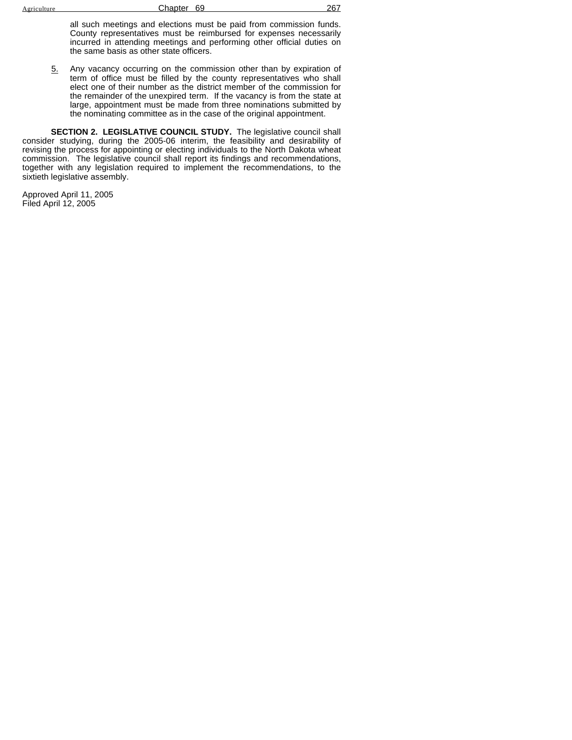all such meetings and elections must be paid from commission funds. County representatives must be reimbursed for expenses necessarily incurred in attending meetings and performing other official duties on the same basis as other state officers.

5. Any vacancy occurring on the commission other than by expiration of term of office must be filled by the county representatives who shall elect one of their number as the district member of the commission for the remainder of the unexpired term. If the vacancy is from the state at large, appointment must be made from three nominations submitted by the nominating committee as in the case of the original appointment.

**SECTION 2. LEGISLATIVE COUNCIL STUDY.** The legislative council shall consider studying, during the 2005-06 interim, the feasibility and desirability of revising the process for appointing or electing individuals to the North Dakota wheat commission. The legislative council shall report its findings and recommendations, together with any legislation required to implement the recommendations, to the sixtieth legislative assembly.

Approved April 11, 2005 Filed April 12, 2005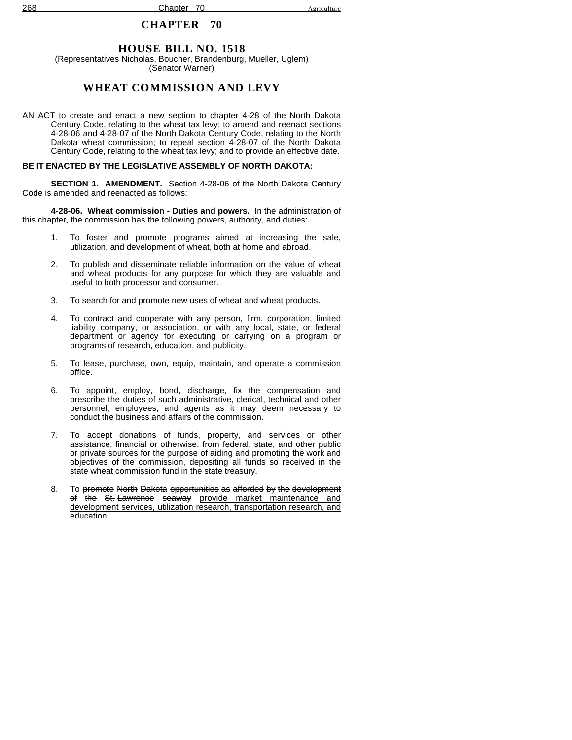### **HOUSE BILL NO. 1518**

(Representatives Nicholas, Boucher, Brandenburg, Mueller, Uglem) (Senator Warner)

## **WHEAT COMMISSION AND LEVY**

AN ACT to create and enact a new section to chapter 4-28 of the North Dakota Century Code, relating to the wheat tax levy; to amend and reenact sections 4-28-06 and 4-28-07 of the North Dakota Century Code, relating to the North Dakota wheat commission; to repeal section 4-28-07 of the North Dakota Century Code, relating to the wheat tax levy; and to provide an effective date.

#### **BE IT ENACTED BY THE LEGISLATIVE ASSEMBLY OF NORTH DAKOTA:**

**SECTION 1. AMENDMENT.** Section 4-28-06 of the North Dakota Century Code is amended and reenacted as follows:

**4-28-06. Wheat commission - Duties and powers.** In the administration of this chapter, the commission has the following powers, authority, and duties:

- 1. To foster and promote programs aimed at increasing the sale, utilization, and development of wheat, both at home and abroad.
- 2. To publish and disseminate reliable information on the value of wheat and wheat products for any purpose for which they are valuable and useful to both processor and consumer.
- 3. To search for and promote new uses of wheat and wheat products.
- 4. To contract and cooperate with any person, firm, corporation, limited liability company, or association, or with any local, state, or federal department or agency for executing or carrying on a program or programs of research, education, and publicity.
- 5. To lease, purchase, own, equip, maintain, and operate a commission office.
- 6. To appoint, employ, bond, discharge, fix the compensation and prescribe the duties of such administrative, clerical, technical and other personnel, employees, and agents as it may deem necessary to conduct the business and affairs of the commission.
- 7. To accept donations of funds, property, and services or other assistance, financial or otherwise, from federal, state, and other public or private sources for the purpose of aiding and promoting the work and objectives of the commission, depositing all funds so received in the state wheat commission fund in the state treasury.
- 8. To promote North Dakota opportunities as afforded by the development of the St. Lawrence seaway provide market maintenance and development services, utilization research, transportation research, and education.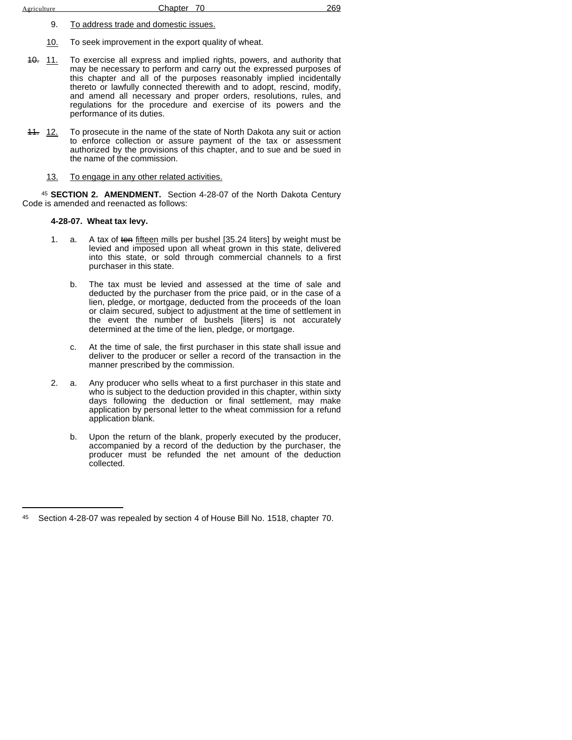- 9. To address trade and domestic issues.
- 10. To seek improvement in the export quality of wheat.
- 40. 11. To exercise all express and implied rights, powers, and authority that may be necessary to perform and carry out the expressed purposes of this chapter and all of the purposes reasonably implied incidentally thereto or lawfully connected therewith and to adopt, rescind, modify, and amend all necessary and proper orders, resolutions, rules, and regulations for the procedure and exercise of its powers and the performance of its duties.
- 11. 12. To prosecute in the name of the state of North Dakota any suit or action to enforce collection or assure payment of the tax or assessment authorized by the provisions of this chapter, and to sue and be sued in the name of the commission.
	- 13. To engage in any other related activities.

<sup>45</sup> **SECTION 2. AMENDMENT.** Section 4-28-07 of the North Dakota Century Code is amended and reenacted as follows:

### **4-28-07. Wheat tax levy.**

- 1. a. A tax of ten fifteen mills per bushel [35.24 liters] by weight must be levied and imposed upon all wheat grown in this state, delivered into this state, or sold through commercial channels to a first purchaser in this state.
	- b. The tax must be levied and assessed at the time of sale and deducted by the purchaser from the price paid, or in the case of a lien, pledge, or mortgage, deducted from the proceeds of the loan or claim secured, subject to adjustment at the time of settlement in the event the number of bushels [liters] is not accurately determined at the time of the lien, pledge, or mortgage.
	- c. At the time of sale, the first purchaser in this state shall issue and deliver to the producer or seller a record of the transaction in the manner prescribed by the commission.
- 2. a. Any producer who sells wheat to a first purchaser in this state and who is subject to the deduction provided in this chapter, within sixty days following the deduction or final settlement, may make application by personal letter to the wheat commission for a refund application blank.
	- b. Upon the return of the blank, properly executed by the producer, accompanied by a record of the deduction by the purchaser, the producer must be refunded the net amount of the deduction collected.

<sup>45</sup> Section 4-28-07 was repealed by section 4 of House Bill No. 1518, chapter 70.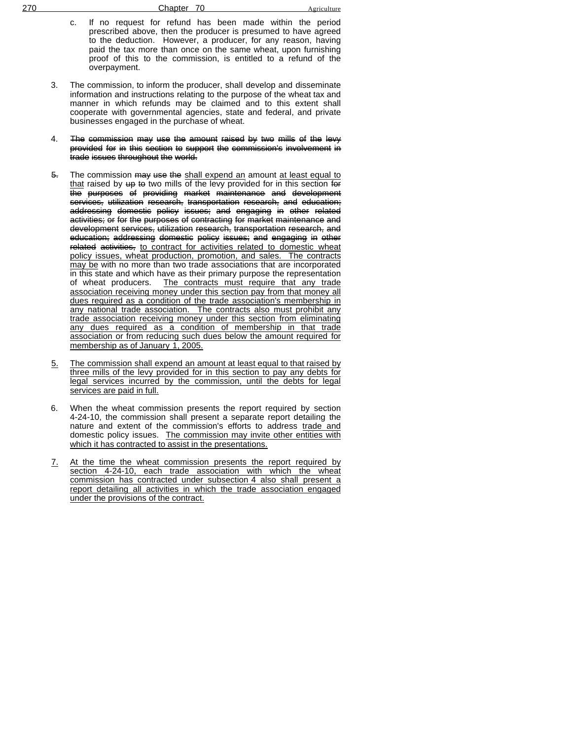- c. If no request for refund has been made within the period prescribed above, then the producer is presumed to have agreed to the deduction. However, a producer, for any reason, having paid the tax more than once on the same wheat, upon furnishing proof of this to the commission, is entitled to a refund of the overpayment.
- 3. The commission, to inform the producer, shall develop and disseminate information and instructions relating to the purpose of the wheat tax and manner in which refunds may be claimed and to this extent shall cooperate with governmental agencies, state and federal, and private businesses engaged in the purchase of wheat.
- 4. The commission may use the amount raised by two mills of the levy provided for in this section to support the commission's involvement in trade issues throughout the world.
- 5. The commission may use the shall expend an amount at least equal to that raised by up to two mills of the levy provided for in this section for the purposes of providing market maintenance and development services, utilization research, transportation research, and education; addressing domestic policy issues; and engaging in other related activities; or for the purposes of contracting for market maintenance and development services, utilization research, transportation research, and education; addressing domestic policy issues; and engaging in other related activities, to contract for activities related to domestic wheat policy issues, wheat production, promotion, and sales. The contracts may be with no more than two trade associations that are incorporated in this state and which have as their primary purpose the representation of wheat producers. The contracts must require that any trade association receiving money under this section pay from that money all dues required as a condition of the trade association's membership in any national trade association. The contracts also must prohibit any trade association receiving money under this section from eliminating any dues required as a condition of membership in that trade association or from reducing such dues below the amount required for membership as of January 1, 2005.
- 5. The commission shall expend an amount at least equal to that raised by three mills of the levy provided for in this section to pay any debts for legal services incurred by the commission, until the debts for legal services are paid in full.
- 6. When the wheat commission presents the report required by section 4-24-10, the commission shall present a separate report detailing the nature and extent of the commission's efforts to address trade and domestic policy issues. The commission may invite other entities with which it has contracted to assist in the presentations.
- 7. At the time the wheat commission presents the report required by section 4-24-10, each trade association with which the wheat commission has contracted under subsection 4 also shall present a report detailing all activities in which the trade association engaged under the provisions of the contract.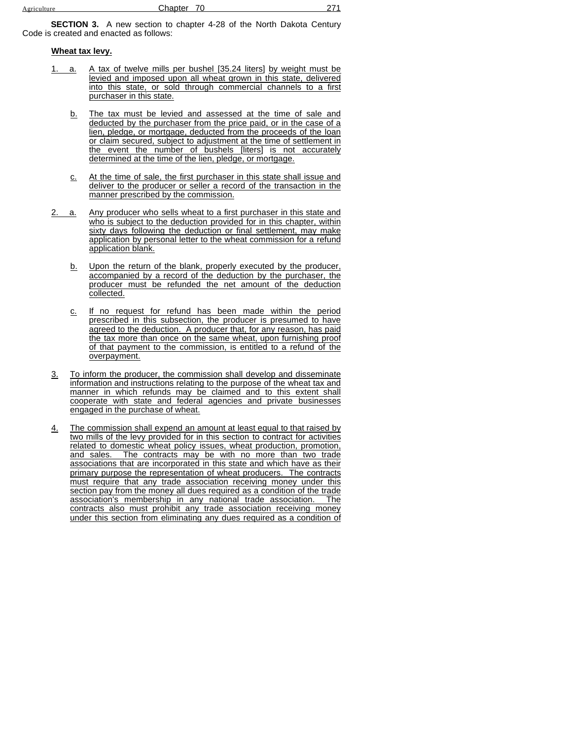**SECTION 3.** A new section to chapter 4-28 of the North Dakota Century Code is created and enacted as follows:

### **Wheat tax levy.**

- 1. a. A tax of twelve mills per bushel [35.24 liters] by weight must be levied and imposed upon all wheat grown in this state, delivered into this state, or sold through commercial channels to a first purchaser in this state.
	- b. The tax must be levied and assessed at the time of sale and deducted by the purchaser from the price paid, or in the case of a lien, pledge, or mortgage, deducted from the proceeds of the loan or claim secured, subject to adjustment at the time of settlement in the event the number of bushels [liters] is not accurately determined at the time of the lien, pledge, or mortgage.
	- c. At the time of sale, the first purchaser in this state shall issue and deliver to the producer or seller a record of the transaction in the manner prescribed by the commission.
- 2. a. Any producer who sells wheat to a first purchaser in this state and who is subject to the deduction provided for in this chapter, within sixty days following the deduction or final settlement, may make application by personal letter to the wheat commission for a refund application blank.
	- b. Upon the return of the blank, properly executed by the producer, accompanied by a record of the deduction by the purchaser, the producer must be refunded the net amount of the deduction collected.
	- c. If no request for refund has been made within the period prescribed in this subsection, the producer is presumed to have agreed to the deduction. A producer that, for any reason, has paid the tax more than once on the same wheat, upon furnishing proof of that payment to the commission, is entitled to a refund of the overpayment.
- 3. To inform the producer, the commission shall develop and disseminate information and instructions relating to the purpose of the wheat tax and manner in which refunds may be claimed and to this extent shall cooperate with state and federal agencies and private businesses engaged in the purchase of wheat.
- 4. The commission shall expend an amount at least equal to that raised by two mills of the levy provided for in this section to contract for activities related to domestic wheat policy issues, wheat production, promotion, and sales. The contracts may be with no more than two trade associations that are incorporated in this state and which have as their primary purpose the representation of wheat producers. The contracts must require that any trade association receiving money under this section pay from the money all dues required as a condition of the trade association's membership in any national trade association. The contracts also must prohibit any trade association receiving money under this section from eliminating any dues required as a condition of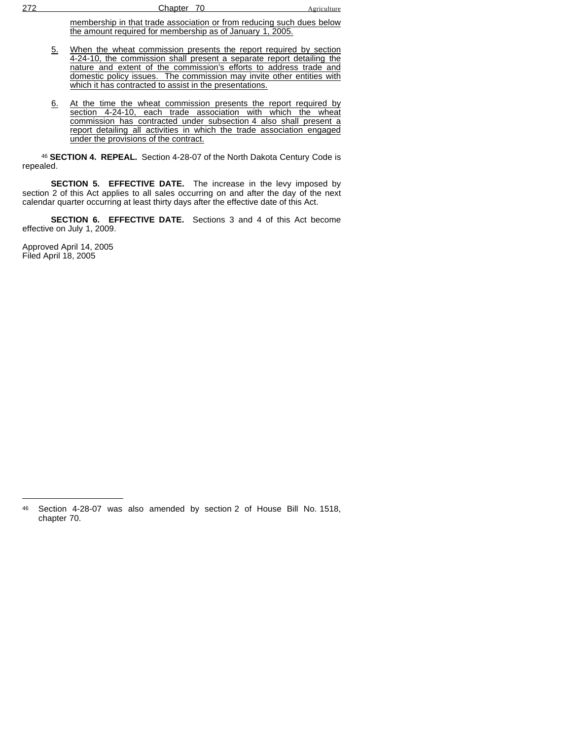membership in that trade association or from reducing such dues below the amount required for membership as of January 1, 2005.

- 5. When the wheat commission presents the report required by section 4-24-10, the commission shall present a separate report detailing the nature and extent of the commission's efforts to address trade and domestic policy issues. The commission may invite other entities with which it has contracted to assist in the presentations.
- 6. At the time the wheat commission presents the report required by section 4-24-10, each trade association with which the wheat commission has contracted under subsection 4 also shall present a report detailing all activities in which the trade association engaged under the provisions of the contract.

<sup>46</sup> **SECTION 4. REPEAL.** Section 4-28-07 of the North Dakota Century Code is repealed.

**SECTION 5. EFFECTIVE DATE.** The increase in the levy imposed by section 2 of this Act applies to all sales occurring on and after the day of the next calendar quarter occurring at least thirty days after the effective date of this Act.

**SECTION 6. EFFECTIVE DATE.** Sections 3 and 4 of this Act become effective on July 1, 2009.

Approved April 14, 2005 Filed April 18, 2005

<sup>46</sup> Section 4-28-07 was also amended by section 2 of House Bill No. 1518, chapter 70.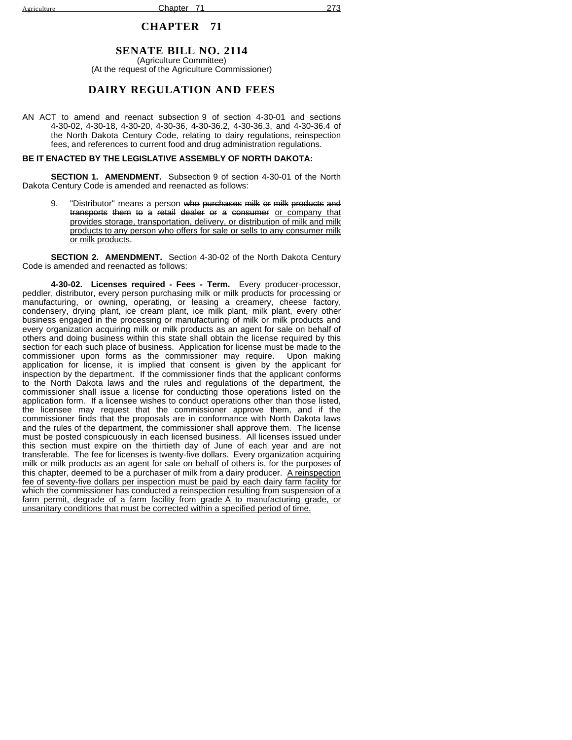## **SENATE BILL NO. 2114**

(Agriculture Committee) (At the request of the Agriculture Commissioner)

## **DAIRY REGULATION AND FEES**

AN ACT to amend and reenact subsection 9 of section 4-30-01 and sections 4-30-02, 4-30-18, 4-30-20, 4-30-36, 4-30-36.2, 4-30-36.3, and 4-30-36.4 of the North Dakota Century Code, relating to dairy regulations, reinspection fees, and references to current food and drug administration regulations.

### **BE IT ENACTED BY THE LEGISLATIVE ASSEMBLY OF NORTH DAKOTA:**

**SECTION 1. AMENDMENT.** Subsection 9 of section 4-30-01 of the North Dakota Century Code is amended and reenacted as follows:

9. "Distributor" means a person who purchases milk or milk products and transports them to a retail dealer or a consumer or company that provides storage, transportation, delivery, or distribution of milk and milk products to any person who offers for sale or sells to any consumer milk or milk products.

**SECTION 2. AMENDMENT.** Section 4-30-02 of the North Dakota Century Code is amended and reenacted as follows:

**4-30-02. Licenses required - Fees - Term.** Every producer-processor, peddler, distributor, every person purchasing milk or milk products for processing or manufacturing, or owning, operating, or leasing a creamery, cheese factory, condensery, drying plant, ice cream plant, ice milk plant, milk plant, every other business engaged in the processing or manufacturing of milk or milk products and every organization acquiring milk or milk products as an agent for sale on behalf of others and doing business within this state shall obtain the license required by this section for each such place of business. Application for license must be made to the commissioner upon forms as the commissioner may require. Upon making application for license, it is implied that consent is given by the applicant for inspection by the department. If the commissioner finds that the applicant conforms to the North Dakota laws and the rules and regulations of the department, the commissioner shall issue a license for conducting those operations listed on the application form. If a licensee wishes to conduct operations other than those listed, the licensee may request that the commissioner approve them, and if the commissioner finds that the proposals are in conformance with North Dakota laws and the rules of the department, the commissioner shall approve them. The license must be posted conspicuously in each licensed business. All licenses issued under this section must expire on the thirtieth day of June of each year and are not transferable. The fee for licenses is twenty-five dollars. Every organization acquiring milk or milk products as an agent for sale on behalf of others is, for the purposes of this chapter, deemed to be a purchaser of milk from a dairy producer. A reinspection fee of seventy-five dollars per inspection must be paid by each dairy farm facility for which the commissioner has conducted a reinspection resulting from suspension of a farm permit, degrade of a farm facility from grade A to manufacturing grade, or unsanitary conditions that must be corrected within a specified period of time.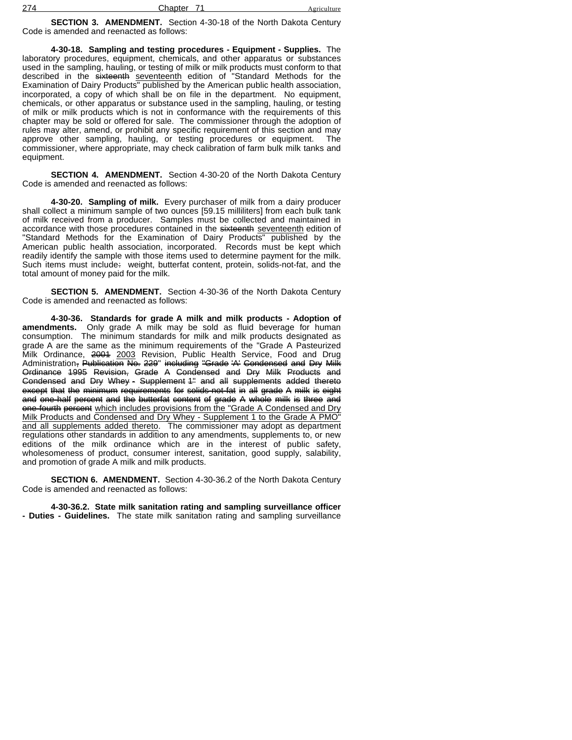**SECTION 3. AMENDMENT.** Section 4-30-18 of the North Dakota Century Code is amended and reenacted as follows:

**4-30-18. Sampling and testing procedures - Equipment - Supplies.** The laboratory procedures, equipment, chemicals, and other apparatus or substances used in the sampling, hauling, or testing of milk or milk products must conform to that described in the sixteenth seventeenth edition of Standard Methods for the Examination of Dairy Products" published by the American public health association, incorporated, a copy of which shall be on file in the department. No equipment, chemicals, or other apparatus or substance used in the sampling, hauling, or testing of milk or milk products which is not in conformance with the requirements of this chapter may be sold or offered for sale. The commissioner through the adoption of rules may alter, amend, or prohibit any specific requirement of this section and may approve other sampling, hauling, or testing procedures or equipment. The commissioner, where appropriate, may check calibration of farm bulk milk tanks and equipment.

**SECTION 4. AMENDMENT.** Section 4-30-20 of the North Dakota Century Code is amended and reenacted as follows:

**4-30-20. Sampling of milk.** Every purchaser of milk from a dairy producer shall collect a minimum sample of two ounces [59.15 milliliters] from each bulk tank of milk received from a producer. Samples must be collected and maintained in accordance with those procedures contained in the sixteenth seventeenth edition of "Standard Methods for the Examination of Dairy Products" published by the American public health association, incorporated. Records must be kept which readily identify the sample with those items used to determine payment for the milk. Such items must include: weight, butterfat content, protein, solids-not-fat, and the total amount of money paid for the milk.

**SECTION 5. AMENDMENT.** Section 4-30-36 of the North Dakota Century Code is amended and reenacted as follows:

**4-30-36. Standards for grade A milk and milk products - Adoption of amendments.** Only grade A milk may be sold as fluid beverage for human consumption. The minimum standards for milk and milk products designated as grade A are the same as the minimum requirements of the "Grade A Pasteurized Milk Ordinance, 2001 2003 Revision, Public Health Service, Food and Drug Administration, Publication No. 229" including "Grade 'A' Condensed and Dry Milk Ordinance 1995 Revision, Grade A Condensed and Dry Milk Products and Condensed and Dry Whey - Supplement <sup>4"</sup> and all supplements added thereto except that the minimum requirements for solids-not-fat in all grade A milk is eight and one-half percent and the butterfat content of grade A whole milk is three and one-fourth percent which includes provisions from the "Grade A Condensed and Dry Milk Products and Condensed and Dry Whey - Supplement 1 to the Grade A PMO" and all supplements added thereto. The commissioner may adopt as department regulations other standards in addition to any amendments, supplements to, or new editions of the milk ordinance which are in the interest of public safety, wholesomeness of product, consumer interest, sanitation, good supply, salability, and promotion of grade A milk and milk products.

**SECTION 6. AMENDMENT.** Section 4-30-36.2 of the North Dakota Century Code is amended and reenacted as follows:

**4-30-36.2. State milk sanitation rating and sampling surveillance officer - Duties - Guidelines.** The state milk sanitation rating and sampling surveillance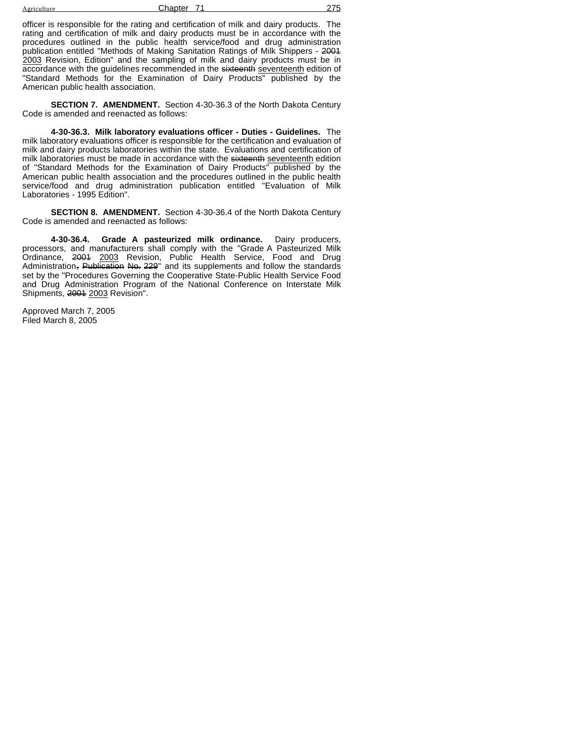| Agriculture | Chapter |  |
|-------------|---------|--|
|             |         |  |

officer is responsible for the rating and certification of milk and dairy products. The rating and certification of milk and dairy products must be in accordance with the procedures outlined in the public health service/food and drug administration publication entitled "Methods of Making Sanitation Ratings of Milk Shippers - 2001 2003 Revision, Edition" and the sampling of milk and dairy products must be in accordance with the guidelines recommended in the sixteenth seventeenth edition of "Standard Methods for the Examination of Dairy Products" published by the American public health association.

**SECTION 7. AMENDMENT.** Section 4-30-36.3 of the North Dakota Century Code is amended and reenacted as follows:

**4-30-36.3. Milk laboratory evaluations officer - Duties - Guidelines.** The milk laboratory evaluations officer is responsible for the certification and evaluation of milk and dairy products laboratories within the state. Evaluations and certification of milk laboratories must be made in accordance with the sixteenth seventeenth edition of "Standard Methods for the Examination of Dairy Products" published by the American public health association and the procedures outlined in the public health service/food and drug administration publication entitled "Evaluation of Milk Laboratories - 1995 Edition".

**SECTION 8. AMENDMENT.** Section 4-30-36.4 of the North Dakota Century Code is amended and reenacted as follows:

**4-30-36.4. Grade A pasteurized milk ordinance.** Dairy producers, processors, and manufacturers shall comply with the "Grade A Pasteurized Milk Ordinance, <del>2001</del> 2<u>003</u> Revision, Public Health Service, Food and Drug Administration<del>, Publication No. 229</del>" and its supplements and follow the standards set by the "Procedures Governing the Cooperative State-Public Health Service Food and Drug Administration Program of the National Conference on Interstate Milk Shipments, 2004 2003 Revision".

Approved March 7, 2005 Filed March 8, 2005